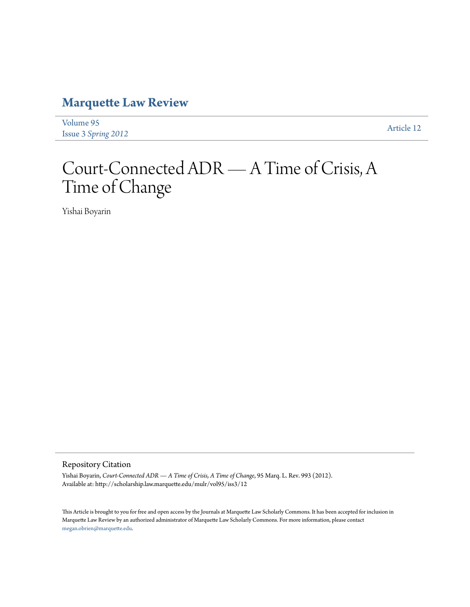# **[Marquette Law Review](http://scholarship.law.marquette.edu/mulr)**

[Volume 95](http://scholarship.law.marquette.edu/mulr/vol95) Issue 3 *[Spring 2012](http://scholarship.law.marquette.edu/mulr/vol95/iss3)* [Article 12](http://scholarship.law.marquette.edu/mulr/vol95/iss3/12)

# Court-Connected ADR — A Time of Crisis, A Time of Change

Yishai Boyarin

#### Repository Citation

Yishai Boyarin, *Court-Connected ADR — A Time of Crisis, A Time of Change*, 95 Marq. L. Rev. 993 (2012). Available at: http://scholarship.law.marquette.edu/mulr/vol95/iss3/12

This Article is brought to you for free and open access by the Journals at Marquette Law Scholarly Commons. It has been accepted for inclusion in Marquette Law Review by an authorized administrator of Marquette Law Scholarly Commons. For more information, please contact [megan.obrien@marquette.edu.](mailto:megan.obrien@marquette.edu)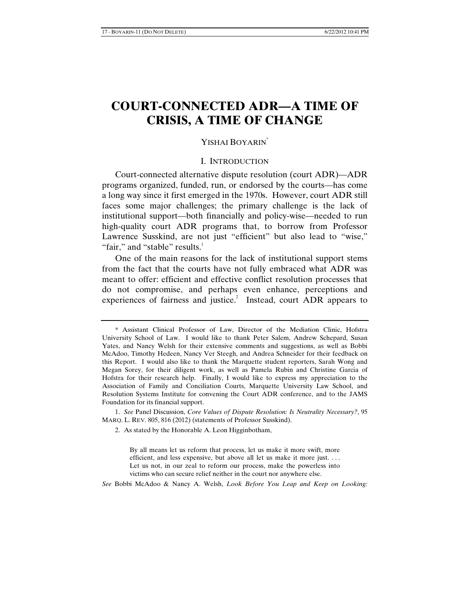# **COURT-CONNECTED ADR—A TIME OF CRISIS, A TIME OF CHANGE**

#### YISHAI BOYARIN<sup>\*</sup>

#### I. INTRODUCTION

Court-connected alternative dispute resolution (court ADR)—ADR programs organized, funded, run, or endorsed by the courts—has come a long way since it first emerged in the 1970s. However, court ADR still faces some major challenges; the primary challenge is the lack of institutional support—both financially and policy-wise—needed to run high-quality court ADR programs that, to borrow from Professor Lawrence Susskind, are not just "efficient" but also lead to "wise," "fair," and "stable" results.<sup>1</sup>

One of the main reasons for the lack of institutional support stems from the fact that the courts have not fully embraced what ADR was meant to offer: efficient and effective conflict resolution processes that do not compromise, and perhaps even enhance, perceptions and experiences of fairness and justice.<sup>2</sup> Instead, court ADR appears to

1. *See* Panel Discussion, *Core Values of Dispute Resolution: Is Neutrality Necessary?*, 95 MARQ. L. REV. 805, 816 (2012) (statements of Professor Susskind).

2. As stated by the Honorable A. Leon Higginbotham,

By all means let us reform that process, let us make it more swift, more efficient, and less expensive, but above all let us make it more just. . . . Let us not, in our zeal to reform our process, make the powerless into victims who can secure relief neither in the court nor anywhere else.

*See* Bobbi McAdoo & Nancy A. Welsh, *Look Before You Leap and Keep on Looking:* 

<sup>\*</sup> Assistant Clinical Professor of Law, Director of the Mediation Clinic, Hofstra University School of Law. I would like to thank Peter Salem, Andrew Schepard, Susan Yates, and Nancy Welsh for their extensive comments and suggestions, as well as Bobbi McAdoo, Timothy Hedeen, Nancy Ver Steegh, and Andrea Schneider for their feedback on this Report. I would also like to thank the Marquette student reporters, Sarah Wong and Megan Sorey, for their diligent work, as well as Pamela Rubin and Christine Garcia of Hofstra for their research help. Finally, I would like to express my appreciation to the Association of Family and Conciliation Courts, Marquette University Law School, and Resolution Systems Institute for convening the Court ADR conference, and to the JAMS Foundation for its financial support.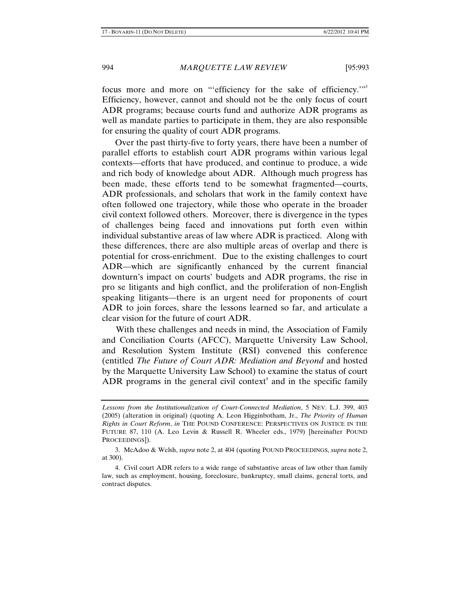focus more and more on "efficiency for the sake of efficiency."<sup>3</sup> Efficiency, however, cannot and should not be the only focus of court ADR programs; because courts fund and authorize ADR programs as well as mandate parties to participate in them, they are also responsible for ensuring the quality of court ADR programs.

Over the past thirty-five to forty years, there have been a number of parallel efforts to establish court ADR programs within various legal contexts—efforts that have produced, and continue to produce, a wide and rich body of knowledge about ADR. Although much progress has been made, these efforts tend to be somewhat fragmented—courts, ADR professionals, and scholars that work in the family context have often followed one trajectory, while those who operate in the broader civil context followed others. Moreover, there is divergence in the types of challenges being faced and innovations put forth even within individual substantive areas of law where ADR is practiced. Along with these differences, there are also multiple areas of overlap and there is potential for cross-enrichment. Due to the existing challenges to court ADR—which are significantly enhanced by the current financial downturn's impact on courts' budgets and ADR programs, the rise in pro se litigants and high conflict, and the proliferation of non-English speaking litigants—there is an urgent need for proponents of court ADR to join forces, share the lessons learned so far, and articulate a clear vision for the future of court ADR.

With these challenges and needs in mind, the Association of Family and Conciliation Courts (AFCC), Marquette University Law School, and Resolution System Institute (RSI) convened this conference (entitled *The Future of Court ADR: Mediation and Beyond* and hosted by the Marquette University Law School) to examine the status of court ADR programs in the general civil context<sup>4</sup> and in the specific family

*Lessons from the Institutionalization of Court-Connected Mediation*, 5 NEV. L.J. 399, 403 (2005) (alteration in original) (quoting A. Leon Higginbotham, Jr., *The Priority of Human Rights in Court Reform*, *in* THE POUND CONFERENCE: PERSPECTIVES ON JUSTICE IN THE FUTURE 87, 110 (A. Leo Levin & Russell R. Wheeler eds., 1979) [hereinafter POUND PROCEEDINGS]).

<sup>3.</sup> McAdoo & Welsh, *supra* note 2, at 404 (quoting POUND PROCEEDINGS, *supra* note 2, at 300).

<sup>4.</sup> Civil court ADR refers to a wide range of substantive areas of law other than family law, such as employment, housing, foreclosure, bankruptcy, small claims, general torts, and contract disputes.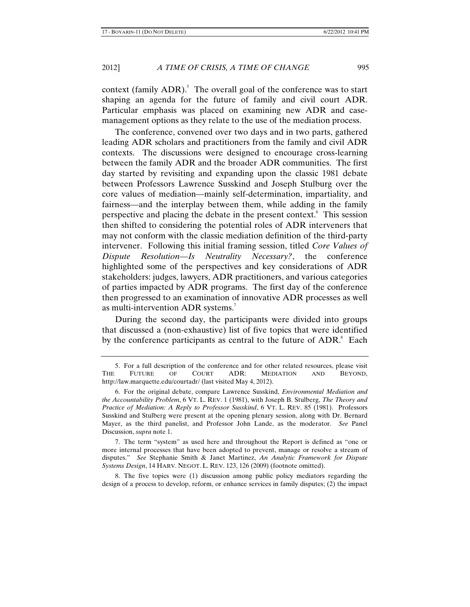context (family  $ADR$ ).<sup>5</sup> The overall goal of the conference was to start shaping an agenda for the future of family and civil court ADR. Particular emphasis was placed on examining new ADR and casemanagement options as they relate to the use of the mediation process.

The conference, convened over two days and in two parts, gathered leading ADR scholars and practitioners from the family and civil ADR contexts. The discussions were designed to encourage cross-learning between the family ADR and the broader ADR communities. The first day started by revisiting and expanding upon the classic 1981 debate between Professors Lawrence Susskind and Joseph Stulburg over the core values of mediation—mainly self-determination, impartiality, and fairness—and the interplay between them, while adding in the family perspective and placing the debate in the present context.<sup>6</sup> This session then shifted to considering the potential roles of ADR interveners that may not conform with the classic mediation definition of the third-party intervener. Following this initial framing session, titled *Core Values of Dispute Resolution—Is Neutrality Necessary?*, the conference highlighted some of the perspectives and key considerations of ADR stakeholders: judges, lawyers, ADR practitioners, and various categories of parties impacted by ADR programs. The first day of the conference then progressed to an examination of innovative ADR processes as well as multi-intervention ADR systems.<sup>7</sup>

During the second day, the participants were divided into groups that discussed a (non-exhaustive) list of five topics that were identified by the conference participants as central to the future of  $ADR$ <sup>8</sup>. Each

7. The term "system" as used here and throughout the Report is defined as "one or more internal processes that have been adopted to prevent, manage or resolve a stream of disputes." *See* Stephanie Smith & Janet Martinez, *An [Analytic Framework for Dispute](https://a.next.westlaw.com/Link/Document/FullText?findType=Y&serNum=0346443576&pubNum=111958&originationContext=document&transitionType=DocumentItem&contextData=(sc.Keycite)#co_pp_sp_111958_129)  [Systems Design](https://a.next.westlaw.com/Link/Document/FullText?findType=Y&serNum=0346443576&pubNum=111958&originationContext=document&transitionType=DocumentItem&contextData=(sc.Keycite)#co_pp_sp_111958_129)*, 14 HARV. NEGOT. L. REV. 123, 126 (2009) (footnote omitted).

8. The five topics were (1) discussion among public policy mediators regarding the design of a process to develop, reform, or enhance services in family disputes; (2) the impact

<sup>5.</sup> For a full description of the conference and for other related resources, please visit THE FUTURE OF COURT ADR: MEDIATION AND BEYOND, <http://law.marquette.edu/courtadr/> (last visited May 4, 2012).

<sup>6.</sup> For the original debate, compare Lawrence Susskind, *Environmental Mediation and the Accountability Problem*, 6 VT. L. REV. 1 (1981), with Joseph B. Stulberg, *The Theory and Practice of Mediation: A Reply to Professor Susskind*, 6 VT. L. REV. 85 (1981). Professors Susskind and Stulberg were present at the opening plenary session, along with Dr. Bernard Mayer, as the third panelist, and Professor John Lande, as the moderator. *See* Panel Discussion, *supra* note 1.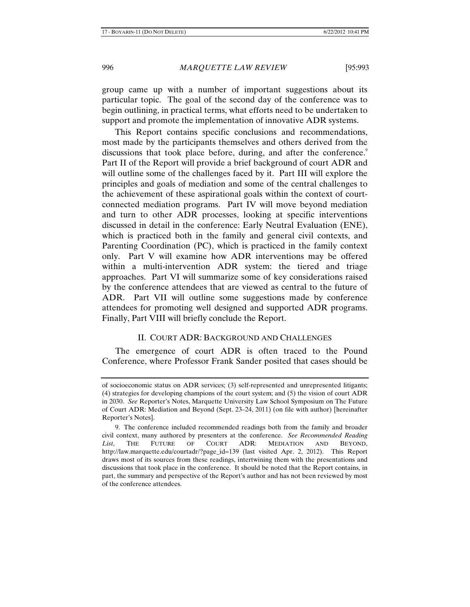group came up with a number of important suggestions about its particular topic. The goal of the second day of the conference was to begin outlining, in practical terms, what efforts need to be undertaken to support and promote the implementation of innovative ADR systems.

This Report contains specific conclusions and recommendations, most made by the participants themselves and others derived from the discussions that took place before, during, and after the conference.<sup>9</sup> Part II of the Report will provide a brief background of court ADR and will outline some of the challenges faced by it. Part III will explore the principles and goals of mediation and some of the central challenges to the achievement of these aspirational goals within the context of courtconnected mediation programs. Part IV will move beyond mediation and turn to other ADR processes, looking at specific interventions discussed in detail in the conference: Early Neutral Evaluation (ENE), which is practiced both in the family and general civil contexts, and Parenting Coordination (PC), which is practiced in the family context only. Part V will examine how ADR interventions may be offered within a multi-intervention ADR system: the tiered and triage approaches. Part VI will summarize some of key considerations raised by the conference attendees that are viewed as central to the future of ADR. Part VII will outline some suggestions made by conference attendees for promoting well designed and supported ADR programs. Finally, Part VIII will briefly conclude the Report.

#### II. COURT ADR: BACKGROUND AND CHALLENGES

The emergence of court ADR is often traced to the Pound Conference, where Professor Frank Sander posited that cases should be

of socioeconomic status on ADR services; (3) self-represented and unrepresented litigants; (4) strategies for developing champions of the court system; and (5) the vision of court ADR in 2030. *See* Reporter's Notes, Marquette University Law School Symposium on The Future of Court ADR: Mediation and Beyond (Sept. 23–24, 2011) (on file with author) [hereinafter Reporter's Notes].

<sup>9.</sup> The conference included recommended readings both from the family and broader civil context, many authored by presenters at the conference. *See Recommended Reading List*, THE FUTURE OF COURT ADR: MEDIATION AND BEYOND, http://law.marquette.edu/courtadr/?page\_id=139 (last visited Apr. 2, 2012). This Report draws most of its sources from these readings, intertwining them with the presentations and discussions that took place in the conference. It should be noted that the Report contains, in part, the summary and perspective of the Report's author and has not been reviewed by most of the conference attendees.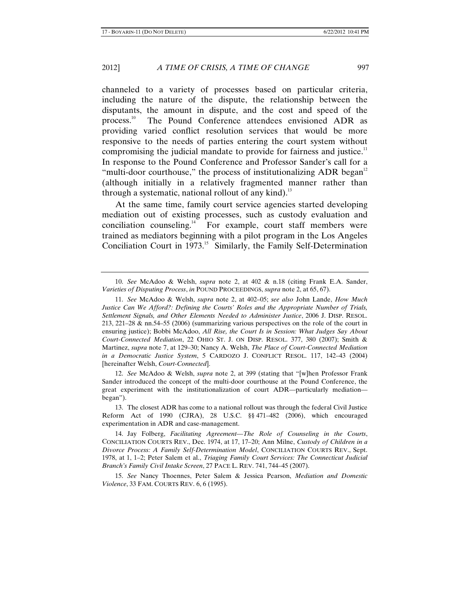channeled to a variety of processes based on particular criteria, including the nature of the dispute, the relationship between the disputants, the amount in dispute, and the cost and speed of the process.<sup>10</sup> The Pound Conference attendees envisioned ADR as providing varied conflict resolution services that would be more responsive to the needs of parties entering the court system without compromising the judicial mandate to provide for fairness and justice. $11$ In response to the Pound Conference and Professor Sander's call for a "multi-door courthouse," the process of institutionalizing ADR began<sup>12</sup> (although initially in a relatively fragmented manner rather than through a systematic, national rollout of any kind).<sup>13</sup>

At the same time, family court service agencies started developing mediation out of existing processes, such as custody evaluation and conciliation counseling. $14$  For example, court staff members were trained as mediators beginning with a pilot program in the Los Angeles Conciliation Court in 1973.<sup>15</sup> Similarly, the Family Self-Determination

12. *See* McAdoo & Welsh, *supra* note 2, at 399 (stating that "[w]hen Professor Frank Sander introduced the concept of the multi-door courthouse at the Pound Conference, the great experiment with the institutionalization of court ADR—particularly mediation began").

13. The closest ADR has come to a national rollout was through the federal Civil Justice Reform Act of 1990 (CJRA), 28 U.S.C. §§ 471–482 (2006), which encouraged experimentation in ADR and case-management.

15. *See* Nancy Thoennes, Peter Salem & Jessica Pearson, *Mediation and Domestic Violence*, 33 FAM. COURTS REV. 6, 6 (1995).

<sup>10.</sup> *See* McAdoo & Welsh, *supra* note 2, at 402 & n.18 (citing Frank E.A. Sander, *Varieties of Disputing Process*, *in* POUND PROCEEDINGS, *supra* note 2, at 65, 67).

<sup>11.</sup> *See* McAdoo & Welsh, *supra* note 2, at 402–05; *see also* John Lande, *How Much Justice Can We Afford?: Defining the Courts' Roles and the Appropriate Number of Trials, Settlement Signals, and Other Elements Needed to Administer Justice*, 2006 J. DISP. RESOL. 213, 221–28 & nn.54–55 (2006) (summarizing various perspectives on the role of the court in ensuring justice); Bobbi McAdoo, *All Rise, the Court Is in Session: What Judges Say About Court-Connected Mediation*, 22 OHIO ST. J. ON DISP. RESOL. 377, 380 (2007); Smith & Martinez, *supra* [note 7, at 129–30;](https://a.next.westlaw.com/Link/Document/FullText?findType=Y&serNum=0346443576&pubNum=111958&originationContext=document&transitionType=DocumentItem&contextData=(sc.Keycite)#co_pp_sp_111958_129) Nancy A. Welsh, *[The Place of Court-Connected Mediation](http://papers.ssrn.com/sol3/papers.cfm?abstract_id=1726218)  [in a Democratic Justice System](http://papers.ssrn.com/sol3/papers.cfm?abstract_id=1726218)*, 5 CARDOZO J. CONFLICT RESOL. 117, 142–43 (2004) [hereinafter Welsh, *Court-Connected*].

<sup>14.</sup> Jay Folberg, *Facilitating Agreement—The Role of Counseling in the Courts*, CONCILIATION COURTS REV., Dec. 1974, at 17, 17–20; Ann Milne, *Custody of Children in a Divorce Process: A Family Self-Determination Model*, CONCILIATION COURTS REV., Sept. 1978, at 1, 1–2; Peter Salem et al., *Triaging Family Court Services: The Connecticut Judicial Branch's Family Civil Intake Screen*, 27 PACE L. REV. 741, 744–45 (2007).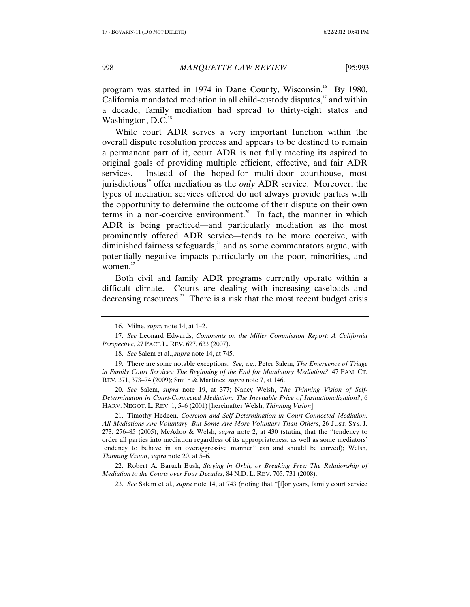program was started in 1974 in Dane County, Wisconsin.<sup>16</sup> By 1980, California mandated mediation in all child-custody disputes,<sup>17</sup> and within a decade, family mediation had spread to thirty-eight states and Washington,  $D.C.<sup>18</sup>$ 

While court ADR serves a very important function within the overall dispute resolution process and appears to be destined to remain a permanent part of it, court ADR is not fully meeting its aspired to original goals of providing multiple efficient, effective, and fair ADR services. Instead of the hoped-for multi-door courthouse, most jurisdictions<sup>19</sup> offer mediation as the *only* ADR service. Moreover, the types of mediation services offered do not always provide parties with the opportunity to determine the outcome of their dispute on their own terms in a non-coercive environment.<sup>20</sup> In fact, the manner in which ADR is being practiced—and particularly mediation as the most prominently offered ADR service—tends to be more coercive, with diminished fairness safeguards,<sup>21</sup> and as some commentators argue, with potentially negative impacts particularly on the poor, minorities, and women.<sup>22</sup>

Both civil and family ADR programs currently operate within a difficult climate. Courts are dealing with increasing caseloads and decreasing resources. $23$  There is a risk that the most recent budget crisis

20. *See* Salem, *supra* note 19, at 377; Nancy Welsh, *The Thinning Vision of Self-Determination in Court-Connected Mediation: The Inevitable Price of Institutionalization?*, 6 HARV. NEGOT. L. REV. 1, 5–6 (2001) [hereinafter Welsh, *Thinning Vision*].

21. Timothy Hedeen, *Coercion and Self-Determination in Court-Connected Mediation: All Mediations Are Voluntary, But Some Are More Voluntary Than Others*, 26 JUST. SYS. J. 273, 276–85 (2005); McAdoo & Welsh, *supra* note 2, at 430 (stating that the "tendency to order all parties into mediation regardless of its appropriateness, as well as some mediators' tendency to behave in an overaggressive manner" can and should be curved); Welsh, *Thinning Vision*, *supra* note 20, at 5–6.

22. Robert A. Baruch Bush, *Staying in Orbit, or Breaking Free: The Relationship of Mediation to the Courts over Four Decades*, 84 N.D. L. REV. 705, 731 (2008).

23. *See* Salem et al., *supra* note 14, at 743 (noting that "[f]or years, family court service

<sup>16.</sup> Milne, *supra* note 14, at 1–2.

<sup>17.</sup> *See* Leonard Edwards, *Comments on the Miller Commission Report: A California Perspective*, 27 PACE L. REV. 627, 633 (2007).

<sup>18.</sup> *See* Salem et al., *supra* note 14, at 745.

<sup>19.</sup> There are some notable exceptions. *See, e.g.*, Peter Salem, *[The Emergence of Triage](https://a.next.westlaw.com/Link/Document/FullText?findType=Y&serNum=0345306062&pubNum=0139865&originationContext=document&transitionType=DocumentItem&contextData=(sc.Keycite))  [in Family Court Services: The Beginning of the End for Mandatory Mediation?](https://a.next.westlaw.com/Link/Document/FullText?findType=Y&serNum=0345306062&pubNum=0139865&originationContext=document&transitionType=DocumentItem&contextData=(sc.Keycite))*, 47 FAM. CT. REV. [371, 373–74 \(2009\);](https://a.next.westlaw.com/Link/Document/FullText?findType=Y&serNum=0345306062&pubNum=0139865&originationContext=document&transitionType=DocumentItem&contextData=(sc.Keycite)) [Smith & Martinez,](https://a.next.westlaw.com/Link/Document/FullText?findType=Y&serNum=0346443576&pubNum=111958&originationContext=document&transitionType=DocumentItem&contextData=(sc.Keycite)#co_pp_sp_111958_129) *supra* note 7, at 146.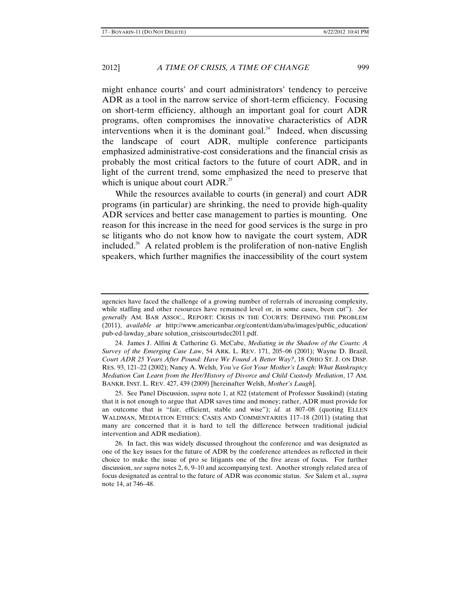might enhance courts' and court administrators' tendency to perceive ADR as a tool in the narrow service of short-term efficiency. Focusing on short-term efficiency, although an important goal for court ADR programs, often compromises the innovative characteristics of ADR interventions when it is the dominant goal. $^{24}$  Indeed, when discussing the landscape of court ADR, multiple conference participants emphasized administrative-cost considerations and the financial crisis as probably the most critical factors to the future of court ADR, and in light of the current trend, some emphasized the need to preserve that which is unique about court  $ADR<sup>25</sup>$ 

While the resources available to courts (in general) and court ADR programs (in particular) are shrinking, the need to provide high-quality ADR services and better case management to parties is mounting. One reason for this increase in the need for good services is the surge in pro se litigants who do not know how to navigate the court system, ADR included.<sup>26</sup> A related problem is the proliferation of non-native English speakers, which further magnifies the inaccessibility of the court system

25. See Panel Discussion, *supra* note 1, at 822 (statement of Professor Susskind) (stating that it is not enough to argue that ADR saves time and money; rather, ADR must provide for an outcome that is "fair, efficient, stable and wise"); *id.* at 807–08 (quoting ELLEN WALDMAN, MEDIATION ETHICS: CASES AND COMMENTARIES 117–18 (2011) (stating that many are concerned that it is hard to tell the difference between traditional judicial intervention and ADR mediation).

26. In fact, this was widely discussed throughout the conference and was designated as one of the key issues for the future of ADR by the conference attendees as reflected in their choice to make the issue of pro se litigants one of the five areas of focus. For further discussion, *see supra* notes 2, 6, 9–10 and accompanying text. Another strongly related area of focus designated as central to the future of ADR was economic status. *See* Salem et al., *supra*  note 14, at 746–48.

agencies have faced the challenge of a growing number of referrals of increasing complexity, while staffing and other resources have remained level or, in some cases, been cut"). *See generally* AM. BAR ASSOC., REPORT: CRISIS IN THE COURTS: DEFINING THE PROBLEM (2011), *available at* http://www.americanbar.org/content/dam/aba/images/public\_education/ pub-ed-lawday\_abare solution\_crisiscourtsdec2011.pdf.

<sup>24.</sup> James J. Alfini & Catherine G. McCabe, *Mediating in the Shadow of the Courts: A Survey of the Emerging Case Law*, 54 ARK. L. REV. 171, 205–06 (2001); Wayne D. Brazil, *Court ADR 25 Years After Pound: Have We Found A Better Way?*, 18 OHIO ST. J. ON DISP. RES. 93, 121–22 (2002); Nancy A. Welsh, *[You've Got Your Mother's Laugh: What Bankruptcy](https://a.next.westlaw.com/Link/Document/FullText?findType=Y&serNum=0351144448&pubNum=102040&originationContext=document&transitionType=DocumentItem&contextData=%28sc.Keycite%29&firstPage=true#co_pp_sp_102040_427)  [Mediation Can Learn from the Her/History of Divorce and Child Custody Mediation](https://a.next.westlaw.com/Link/Document/FullText?findType=Y&serNum=0351144448&pubNum=102040&originationContext=document&transitionType=DocumentItem&contextData=%28sc.Keycite%29&firstPage=true#co_pp_sp_102040_427)*, 17 AM. BANKR. INST. L. REV. 427, 439 (2009) [hereinafter Welsh, *Mother's Laugh*].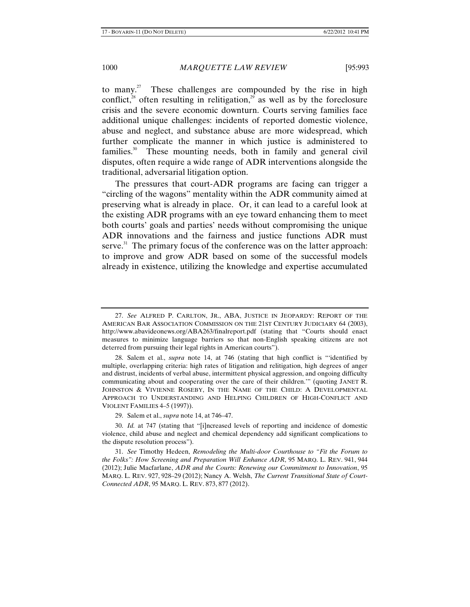to many.<sup>27</sup> These challenges are compounded by the rise in high conflict, $38$  often resulting in relitigation, $29$  as well as by the foreclosure crisis and the severe economic downturn. Courts serving families face additional unique challenges: incidents of reported domestic violence, abuse and neglect, and substance abuse are more widespread, which further complicate the manner in which justice is administered to families. $30$  These mounting needs, both in family and general civil disputes, often require a wide range of ADR interventions alongside the traditional, adversarial litigation option.

The pressures that court-ADR programs are facing can trigger a "circling of the wagons" mentality within the ADR community aimed at preserving what is already in place. Or, it can lead to a careful look at the existing ADR programs with an eye toward enhancing them to meet both courts' goals and parties' needs without compromising the unique ADR innovations and the fairness and justice functions ADR must serve.<sup>31</sup> The primary focus of the conference was on the latter approach: to improve and grow ADR based on some of the successful models already in existence, utilizing the knowledge and expertise accumulated

<sup>27.</sup> *See* ALFRED P. CARLTON, JR., ABA, JUSTICE IN JEOPARDY: REPORT OF THE AMERICAN BAR ASSOCIATION COMMISSION ON THE 21ST CENTURY JUDICIARY 64 (2003), http://www.abavideonews.org/ABA263/finalreport.pdf (stating that "Courts should enact measures to minimize language barriers so that non-English speaking citizens are not deterred from pursuing their legal rights in American courts").

<sup>28.</sup> Salem et al., *supra* note 14, at 746 (stating that high conflict is "'identified by multiple, overlapping criteria: high rates of litigation and relitigation, high degrees of anger and distrust, incidents of verbal abuse, intermittent physical aggression, and ongoing difficulty communicating about and cooperating over the care of their children.'" (quoting JANET R. JOHNSTON & VIVIENNE ROSEBY, IN THE NAME OF THE CHILD: A DEVELOPMENTAL APPROACH TO UNDERSTANDING AND HELPING CHILDREN OF HIGH-CONFLICT AND VIOLENT FAMILIES 4–5 (1997)).

<sup>29.</sup> Salem et al., *supra* note 14, at 746–47.

<sup>30.</sup> *Id.* at 747 (stating that "[i]ncreased levels of reporting and incidence of domestic violence, child abuse and neglect and chemical dependency add significant complications to the dispute resolution process").

<sup>31.</sup> *See* Timothy Hedeen, *Remodeling the Multi-door Courthouse to "Fit the Forum to the Folks": How Screening and Preparation Will Enhance ADR*, 95 MARQ. L. REV. 941, 944 (2012); Julie Macfarlane, *ADR and the Courts: Renewing our Commitment to Innovation*, 95 MARQ. L. REV. 927, 928–29 (2012); Nancy A. Welsh, *The Current Transitional State of Court-Connected ADR*, 95 MARQ. L. REV. 873, 877 (2012).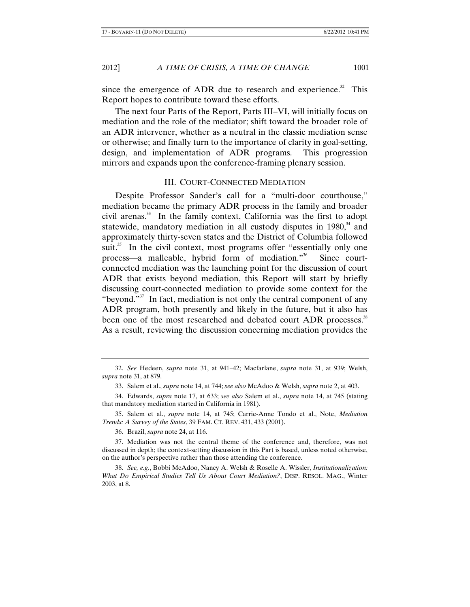since the emergence of ADR due to research and experience. $32$  This Report hopes to contribute toward these efforts.

The next four Parts of the Report, Parts III–VI, will initially focus on mediation and the role of the mediator; shift toward the broader role of an ADR intervener, whether as a neutral in the classic mediation sense or otherwise; and finally turn to the importance of clarity in goal-setting, design, and implementation of ADR programs. This progression mirrors and expands upon the conference-framing plenary session.

#### III. COURT-CONNECTED MEDIATION

Despite Professor Sander's call for a "multi-door courthouse," mediation became the primary ADR process in the family and broader civil arenas.33 In the family context, California was the first to adopt statewide, mandatory mediation in all custody disputes in  $1980<sup>34</sup>$  and approximately thirty-seven states and the District of Columbia followed suit.<sup>35</sup> In the civil context, most programs offer "essentially only one process—a malleable, hybrid form of mediation."36 Since courtconnected mediation was the launching point for the discussion of court ADR that exists beyond mediation, this Report will start by briefly discussing court-connected mediation to provide some context for the "beyond."<sup>37</sup> In fact, mediation is not only the central component of any ADR program, both presently and likely in the future, but it also has been one of the most researched and debated court ADR processes.<sup>38</sup> As a result, reviewing the discussion concerning mediation provides the

35. Salem et al., *supra* note 14, at 745; Carrie-Anne Tondo et al., Note, *Mediation Trends: A Survey of the States*, 39 FAM. CT. REV. 431, 433 (2001).

<sup>32.</sup> *See* Hedeen, *supra* note 31, at 941–42; Macfarlane, *supra* note 31, at 939; Welsh, *supra* note 31, at 879.

<sup>33.</sup> Salem et al., *supra* note 14, at 744; *see also* McAdoo & Welsh, *supra* note 2, at 403.

<sup>34.</sup> Edwards, *supra* note 17, at 633; *see also* Salem et al., *supra* note 14, at 745 (stating that mandatory mediation started in California in 1981).

<sup>36.</sup> Brazil, *supra* note 24, at 116.

<sup>37.</sup> Mediation was not the central theme of the conference and, therefore, was not discussed in depth; the context-setting discussion in this Part is based, unless noted otherwise, on the author's perspective rather than those attending the conference.

<sup>38.</sup> *See, e.g.*, Bobbi McAdoo, Nancy A. Welsh & Roselle A. Wissler, *Institutionalization: What Do Empirical Studies Tell Us About Court Mediation?*, DISP. RESOL. MAG., Winter 2003, at 8.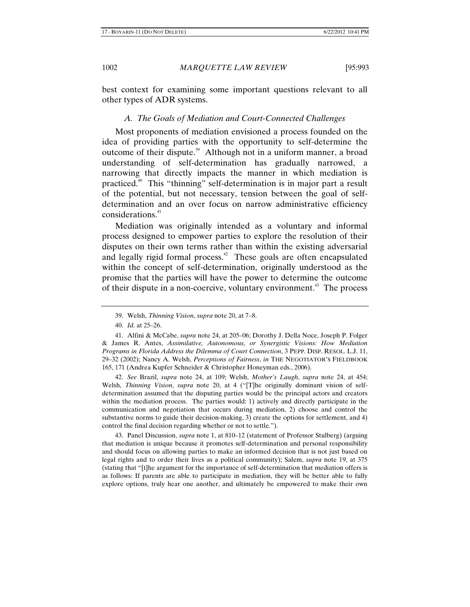best context for examining some important questions relevant to all other types of ADR systems.

#### *A. The Goals of Mediation and Court-Connected Challenges*

Most proponents of mediation envisioned a process founded on the idea of providing parties with the opportunity to self-determine the outcome of their dispute.<sup>39</sup> Although not in a uniform manner, a broad understanding of self-determination has gradually narrowed, a narrowing that directly impacts the manner in which mediation is practiced.<sup>40</sup> This "thinning" self-determination is in major part a result of the potential, but not necessary, tension between the goal of selfdetermination and an over focus on narrow administrative efficiency considerations.<sup>41</sup>

Mediation was originally intended as a voluntary and informal process designed to empower parties to explore the resolution of their disputes on their own terms rather than within the existing adversarial and legally rigid formal process.<sup>42</sup> These goals are often encapsulated within the concept of self-determination, originally understood as the promise that the parties will have the power to determine the outcome of their dispute in a non-coercive, voluntary environment.<sup>43</sup> The process

42. *See* Brazil, *supra* note 24, at 109; Welsh, *Mother's Laugh*, *supra* note 24, at 454; Welsh, *Thinning Vision*, *supra* note 20, at 4 ("[T]he originally dominant vision of selfdetermination assumed that the disputing parties would be the principal actors and creators within the mediation process. The parties would: 1) actively and directly participate in the communication and negotiation that occurs during mediation, 2) choose and control the substantive norms to guide their decision-making, 3) create the options for settlement, and 4) control the final decision regarding whether or not to settle.").

43. Panel Discussion, *supra* note 1, at 810–12 (statement of Professor Stulberg) (arguing that mediation is unique because it promotes self-determination and personal responsibility and should focus on allowing parties to make an informed decision that is not just based on legal rights and to order their lives as a political community); Salem, *supra* [note 19, at 375](https://a.next.westlaw.com/Link/Document/FullText?findType=Y&serNum=0345306062&pubNum=0139865&originationContext=document&transitionType=DocumentItem&contextData=(sc.Keycite)) (stating that "[t]he argument for the importance of self-determination that mediation offers is as follows: If parents are able to participate in mediation, they will be better able to fully explore options, truly hear one another, and ultimately be empowered to make their own

<sup>39.</sup> Welsh, *Thinning Vision*, *supra* note 20, at 7–8.

<sup>40.</sup> *Id.* at 25–26.

<sup>41.</sup> Alfini & McCabe, *supra* note 24, at 205–06; Dorothy J. Della Noce, Joseph P. Folger & James R. Antes, *Assimilative, Autonomous, or Synergistic Visions: How Mediation Programs in Florida Address the Dilemma of Court Connection*, 3 PEPP. DISP. RESOL. L.J. 11, 29–32 (2002); Nancy A. Welsh, *Perceptions of Fairness*, *in* THE NEGOTIATOR'S FIELDBOOK 165, 171 (Andrea Kupfer Schneider & Christopher Honeyman eds., 2006).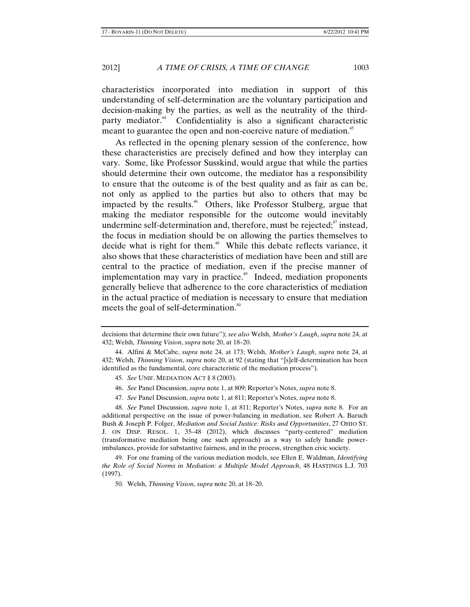characteristics incorporated into mediation in support of this understanding of self-determination are the voluntary participation and decision-making by the parties, as well as the neutrality of the thirdparty mediator.<sup>44</sup> Confidentiality is also a significant characteristic meant to guarantee the open and non-coercive nature of mediation.<sup>45</sup>

As reflected in the opening plenary session of the conference, how these characteristics are precisely defined and how they interplay can vary. Some, like Professor Susskind, would argue that while the parties should determine their own outcome, the mediator has a responsibility to ensure that the outcome is of the best quality and as fair as can be, not only as applied to the parties but also to others that may be impacted by the results.<sup>46</sup> Others, like Professor Stulberg, argue that making the mediator responsible for the outcome would inevitably undermine self-determination and, therefore, must be rejected; $\alpha$ <sup>47</sup> instead, the focus in mediation should be on allowing the parties themselves to decide what is right for them.<sup>48</sup> While this debate reflects variance, it also shows that these characteristics of mediation have been and still are central to the practice of mediation, even if the precise manner of implementation may vary in practice.<sup>49</sup> Indeed, mediation proponents generally believe that adherence to the core characteristics of mediation in the actual practice of mediation is necessary to ensure that mediation meets the goal of self-determination.<sup>50</sup>

- 46. *See* Panel Discussion, *supra* note 1, at 809; Reporter's Notes, *supra* note 8.
- 47. *See* Panel Discussion, *supra* note 1, at 811; Reporter's Notes, *supra* note 8.

48. *See* Panel Discussion, *supra* note 1, at 811; Reporter's Notes, *supra* note 8. For an additional perspective on the issue of power-balancing in mediation, see Robert A. Baruch Bush & Joseph P. Folger, *Mediation and Social Justice: Risks and Opportunities*, 27 OHIO ST. J. ON DISP. RESOL. 1, 35–48 (2012), which discusses "party-centered" mediation (transformative mediation being one such approach) as a way to safely handle powerimbalances, provide for substantive fairness, and in the process, strengthen civic society.

49. For one framing of the various mediation models, see Ellen E. Waldman, *Identifying the Role of Social Norms in Mediation: a Multiple Model Approach*, 48 HASTINGS L.J. 703 (1997).

decisions that determine their own future"); *see also* Welsh, *Mother's Laugh*, *supra* note 24, at 432; Welsh, *Thinning Vision*, *supra* note 20, at 18–20.

<sup>44.</sup> Alfini & McCabe, *supra* note 24, at 173; Welsh, *Mother's Laugh*, *supra* note 24, at 432; Welsh, *Thinning Vision*, *supra* note 20, at 92 (stating that "[s]elf-determination has been identified as the fundamental, core characteristic of the mediation process").

<sup>45.</sup> *See* UNIF. MEDIATION ACT § 8 (2003).

<sup>50.</sup> Welsh, *Thinning Vision*, *supra* note 20, at 18–20.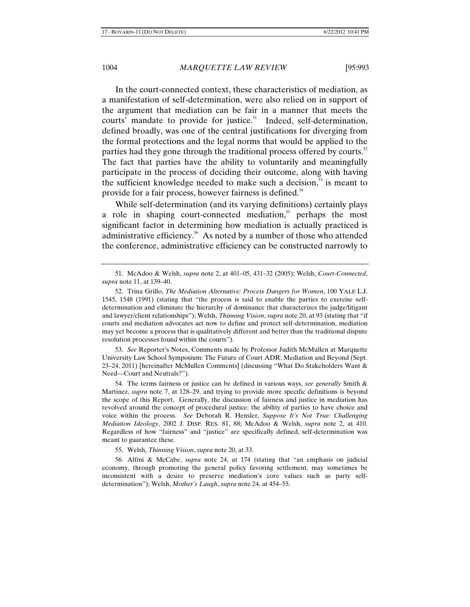In the court-connected context, these characteristics of mediation, as a manifestation of self-determination, were also relied on in support of the argument that mediation can be fair in a manner that meets the courts' mandate to provide for justice. $51$  Indeed, self-determination, defined broadly, was one of the central justifications for diverging from the formal protections and the legal norms that would be applied to the parties had they gone through the traditional process offered by courts.<sup>52</sup> The fact that parties have the ability to voluntarily and meaningfully participate in the process of deciding their outcome, along with having the sufficient knowledge needed to make such a decision, $53$  is meant to provide for a fair process, however fairness is defined.<sup>54</sup>

While self-determination (and its varying definitions) certainly plays a role in shaping court-connected mediation,<sup>55</sup> perhaps the most significant factor in determining how mediation is actually practiced is administrative efficiency.<sup>56</sup> As noted by a number of those who attended the conference, administrative efficiency can be constructed narrowly to

53. *See* Reporter's Notes, Comments made by Professor Judith McMullen at Marquette University Law School Symposium: The Future of Court ADR: Mediation and Beyond (Sept. 23–24, 2011) [hereinafter McMullen Comments] (discussing "What Do Stakeholders Want & Need—Court and Neutrals?").

54. The terms fairness or justice can be defined in various ways, *see generally* Smith & Martinez, *supra* [note 7, at 128–29,](https://a.next.westlaw.com/Link/Document/FullText?findType=Y&serNum=0346443576&pubNum=111958&originationContext=document&transitionType=DocumentItem&contextData=(sc.Keycite)#co_pp_sp_111958_129) and trying to provide more specific definitions is beyond the scope of this Report. Generally, the discussion of fairness and justice in mediation has revolved around the concept of procedural justice: the ability of parties to have choice and voice within the process. *See* Deborah R. Hensler, *Suppose It's Not True: Challenging Mediation Ideology*, 2002 J. DISP. RES. 81, 88; McAdoo & Welsh, *supra* note 2, at 410. Regardless of how "fairness" and "justice" are specifically defined, self-determination was meant to guarantee these.

55. Welsh, *Thinning Vision*, *supra* note 20, at 33.

56. Alfini & McCabe, *supra* note 24, at 174 (stating that "an emphasis on judicial economy, through promoting the general policy favoring settlement, may sometimes be inconsistent with a desire to preserve mediation's core values such as party selfdetermination"); Welsh, *Mother's Laugh*, *supra* note 24, at 454–55.

<sup>51.</sup> McAdoo & Welsh, *supra* note 2, at 401–05, 431–32 (2005); Welsh, *Court-Connected*, *supra* note 11, at 139–40.

<sup>52.</sup> Trina Grillo, *The Mediation Alternative: Process Dangers for Women*, 100 YALE L.J. 1545, 1548 (1991) (stating that "the process is said to enable the parties to exercise selfdetermination and eliminate the hierarchy of dominance that characterizes the judge/litigant and lawyer/client relationships"); Welsh, *Thinning Vision*, *supra* note 20, at 93 (stating that "if courts and mediation advocates act now to define and protect self-determination, mediation may yet become a process that is qualitatively different and better than the traditional dispute resolution processes found within the courts").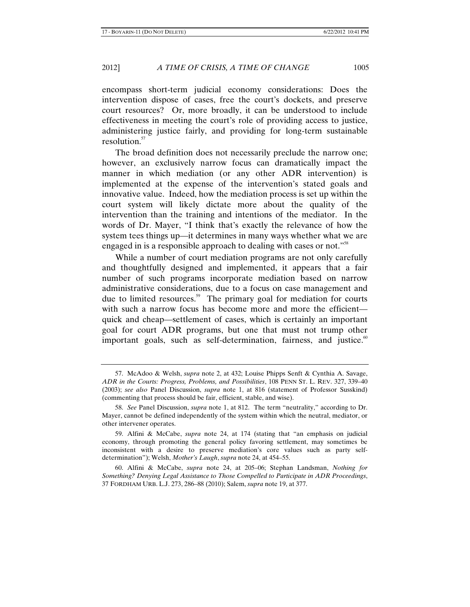encompass short-term judicial economy considerations: Does the intervention dispose of cases, free the court's dockets, and preserve court resources? Or, more broadly, it can be understood to include effectiveness in meeting the court's role of providing access to justice, administering justice fairly, and providing for long-term sustainable resolution. $57$ 

The broad definition does not necessarily preclude the narrow one; however, an exclusively narrow focus can dramatically impact the manner in which mediation (or any other ADR intervention) is implemented at the expense of the intervention's stated goals and innovative value. Indeed, how the mediation process is set up within the court system will likely dictate more about the quality of the intervention than the training and intentions of the mediator. In the words of Dr. Mayer, "I think that's exactly the relevance of how the system tees things up—it determines in many ways whether what we are engaged in is a responsible approach to dealing with cases or not."<sup>58</sup>

While a number of court mediation programs are not only carefully and thoughtfully designed and implemented, it appears that a fair number of such programs incorporate mediation based on narrow administrative considerations, due to a focus on case management and due to limited resources. $59$  The primary goal for mediation for courts with such a narrow focus has become more and more the efficient quick and cheap—settlement of cases, which is certainly an important goal for court ADR programs, but one that must not trump other important goals, such as self-determination, fairness, and justice.<sup>60</sup>

<sup>57.</sup> McAdoo & Welsh, *supra* note 2, at 432; [Louise Phipps Senft](http://web2.westlaw.com/find/default.wl?tc=-1&docname=0303881601&rp=%2ffind%2fdefault.wl&sv=Split&rs=WLW11.10&db=PROFILER-WLD&tf=-1&findtype=h&fn=_top&mt=Westlaw&vr=2.0&pbc=F59657D1&ordoc=0296589261) & Cynthia A. Savage, *ADR in the Courts: Progress, Problems, and Possibilities*, 108 PENN ST. L. REV. 327, 339–40 (2003); *see also* Panel Discussion, *supra* note 1, at 816 (statement of Professor Susskind) (commenting that process should be fair, efficient, stable, and wise).

<sup>58.</sup> *See* Panel Discussion, *supra* note 1, at 812. The term "neutrality," according to Dr. Mayer, cannot be defined independently of the system within which the neutral, mediator, or other intervener operates.

<sup>59.</sup> Alfini & McCabe, *supra* note 24, at 174 (stating that "an emphasis on judicial economy, through promoting the general policy favoring settlement, may sometimes be inconsistent with a desire to preserve mediation's core values such as party selfdetermination"); Welsh, *Mother's Laugh*, *supra* note 24, at 454–55.

<sup>60.</sup> Alfini & McCabe, *supra* note 24, at 205–06; Stephan Landsman, *Nothing for Something? Denying Legal Assistance to Those Compelled to Participate in ADR Proceedings*, 37 FORDHAM URB. L.J. 273, 286–88 (2010); Salem, *supra* [note 19, at 377](https://a.next.westlaw.com/Link/Document/FullText?findType=Y&serNum=0345306062&pubNum=0139865&originationContext=document&transitionType=DocumentItem&contextData=(sc.Keycite)).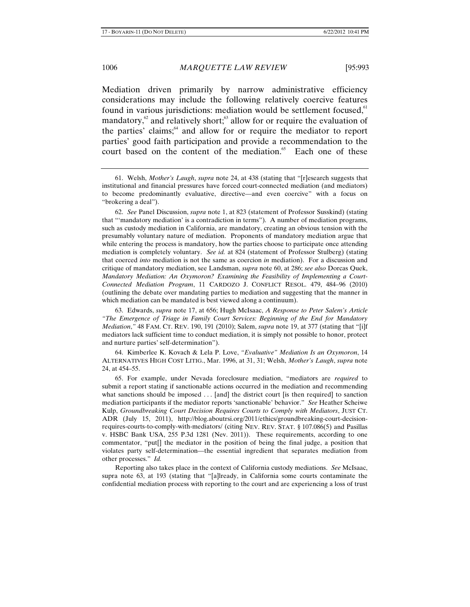Mediation driven primarily by narrow administrative efficiency considerations may include the following relatively coercive features found in various jurisdictions: mediation would be settlement focused, $61$ mandatory,<sup>62</sup> and relatively short;<sup>63</sup> allow for or require the evaluation of the parties' claims; <sup>64</sup> and allow for or require the mediator to report parties' good faith participation and provide a recommendation to the court based on the content of the mediation. 65 Each one of these

63. Edwards, *supra* note 17, at 656; Hugh McIsaac, *A Response to Peter Salem's Article "The Emergence of Triage in Family Court Services: Beginning of the End for Mandatory Mediation*,*"* 48 FAM. CT. REV. 190, 191 (2010); Salem, *supra* [note 19, at 377](https://a.next.westlaw.com/Link/Document/FullText?findType=Y&serNum=0345306062&pubNum=0139865&originationContext=document&transitionType=DocumentItem&contextData=(sc.Keycite)) (stating that "[i]f mediators lack sufficient time to conduct mediation, it is simply not possible to honor, protect and nurture parties' self-determination").

64. Kimberlee K. Kovach & Lela P. Love, *"Evaluative" Mediation Is an Oxymoron*, 14 ALTERNATIVES HIGH COST LITIG., Mar. 1996, at 31, 31; Welsh, *Mother's Laugh*, *supra* note 24, at 454–55.

Reporting also takes place in the context of California custody mediations. *See* McIsaac, supra note 63, at 193 (stating that "[a]lready, in California some courts contaminate the confidential mediation process with reporting to the court and are experiencing a loss of trust

<sup>61.</sup> Welsh, *Mother's Laugh*, *supra* note 24, at 438 (stating that "[r]esearch suggests that institutional and financial pressures have forced court-connected mediation (and mediators) to become predominantly evaluative, directive—and even coercive" with a focus on "brokering a deal").

<sup>62.</sup> *See* Panel Discussion, *supra* note 1, at 823 (statement of Professor Susskind) (stating that "'mandatory mediation' is a contradiction in terms"). A number of mediation programs, such as custody mediation in California, are mandatory, creating an obvious tension with the presumably voluntary nature of mediation. Proponents of mandatory mediation argue that while entering the process is mandatory, how the parties choose to participate once attending mediation is completely voluntary. *See id.* at 824 (statement of Professor Stulberg) (stating that coerced *into* mediation is not the same as coercion *in* mediation). For a discussion and critique of mandatory mediation, see Landsman, *supra* note 60, at 286; *see also* Dorcas Quek, *Mandatory Mediation: An Oxymoron? Examining the Feasibility of Implementing a Court-Connected Mediation Program*, 11 CARDOZO J. CONFLICT RESOL. 479, 484–96 (2010) (outlining the debate over mandating parties to mediation and suggesting that the manner in which mediation can be mandated is best viewed along a continuum).

<sup>65.</sup> For example, under Nevada foreclosure mediation, "mediators are *required* to submit a report stating if sanctionable actions occurred in the mediation and recommending what sanctions should be imposed . . . [and] the district court [is then required] to sanction mediation participants if the mediator reports 'sanctionable' behavior." *See* Heather Scheiwe Kulp, *Groundbreaking Court Decision Requires Courts to Comply with Mediators*, JUST CT. ADR (July 15, 2011), http://blog.aboutrsi.org/2011/ethics/groundbreaking-court-decisionrequires-courts-to-comply-with-mediators/ (citing NEV. REV. STAT. § 107.086(5) and Pasillas v. HSBC Bank USA, 255 P.3d 1281 (Nev. 2011)). These requirements, according to one commentator, "put[] the mediator in the position of being the final judge, a position that violates party self-determination—the essential ingredient that separates mediation from other processes." *Id.*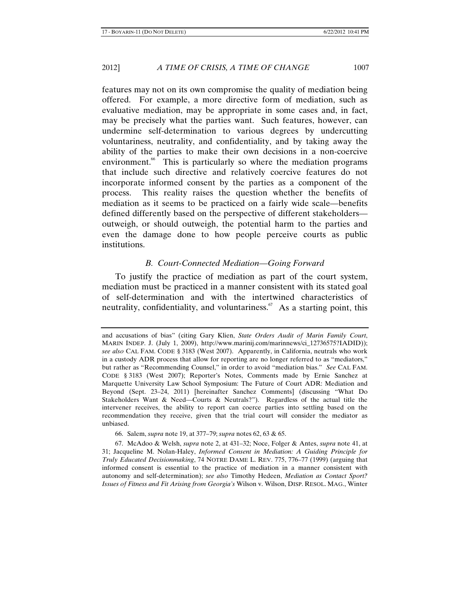features may not on its own compromise the quality of mediation being offered. For example, a more directive form of mediation, such as evaluative mediation, may be appropriate in some cases and, in fact, may be precisely what the parties want. Such features, however, can undermine self-determination to various degrees by undercutting voluntariness, neutrality, and confidentiality, and by taking away the ability of the parties to make their own decisions in a non-coercive environment.<sup>66</sup> This is particularly so where the mediation programs that include such directive and relatively coercive features do not incorporate informed consent by the parties as a component of the process. This reality raises the question whether the benefits of mediation as it seems to be practiced on a fairly wide scale—benefits defined differently based on the perspective of different stakeholders outweigh, or should outweigh, the potential harm to the parties and even the damage done to how people perceive courts as public institutions.

#### *B. Court-Connected Mediation—Going Forward*

To justify the practice of mediation as part of the court system, mediation must be practiced in a manner consistent with its stated goal of self-determination and with the intertwined characteristics of neutrality, confidentiality, and voluntariness.<sup>67</sup> As a starting point, this

and accusations of bias" (citing Gary Klien, *State Orders Audit of Marin Family Court*, MARIN INDEP. J. (July 1, 2009), http://www.marinij.com/marinnews/ci\_12736575?IADID)); *see also* CAL FAM. CODE § 3183 (West 2007). Apparently, in California, neutrals who work in a custody ADR process that allow for reporting are no longer referred to as "mediators," but rather as "Recommending Counsel," in order to avoid "mediation bias." *See* CAL FAM. CODE § 3183 (West 2007); Reporter's Notes, Comments made by Ernie Sanchez at Marquette University Law School Symposium: The Future of Court ADR: Mediation and Beyond (Sept. 23–24, 2011) [hereinafter Sanchez Comments] (discussing "What Do Stakeholders Want & Need—Courts & Neutrals?"). Regardless of the actual title the intervener receives, the ability to report can coerce parties into settling based on the recommendation they receive, given that the trial court will consider the mediator as unbiased.

<sup>66.</sup> Salem, *supra* [note 19, at 377–79;](https://a.next.westlaw.com/Link/Document/FullText?findType=Y&serNum=0345306062&pubNum=0139865&originationContext=document&transitionType=DocumentItem&contextData=(sc.Keycite)) *supra* notes 62, 63 & 65.

<sup>67.</sup> McAdoo & Welsh, *supra* note 2, at 431–32; Noce, Folger & Antes, *supra* note 41, at 31; Jacqueline M. Nolan-Haley, *Informed Consent in Mediation: A Guiding Principle for Truly Educated Decisionmaking*, 74 NOTRE DAME L. REV. 775, 776–77 (1999) (arguing that informed consent is essential to the practice of mediation in a manner consistent with autonomy and self-determination); *see also* Timothy Hedeen, *Mediation as Contact Sport? Issues of Fitness and Fit Arising from Georgia's* Wilson v. Wilson, DISP. RESOL. MAG., Winter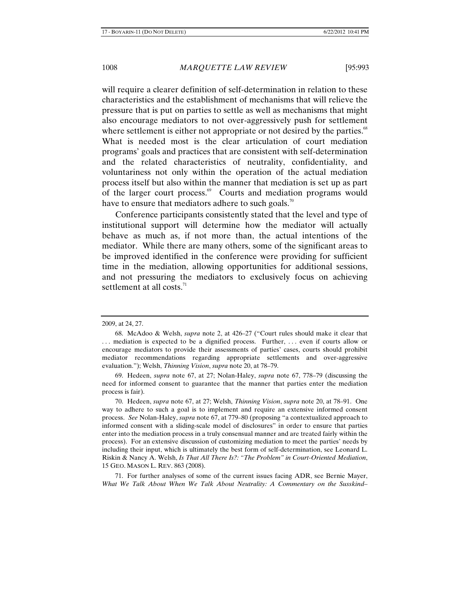will require a clearer definition of self-determination in relation to these characteristics and the establishment of mechanisms that will relieve the pressure that is put on parties to settle as well as mechanisms that might also encourage mediators to not over-aggressively push for settlement where settlement is either not appropriate or not desired by the parties.<sup>68</sup> What is needed most is the clear articulation of court mediation programs' goals and practices that are consistent with self-determination and the related characteristics of neutrality, confidentiality, and voluntariness not only within the operation of the actual mediation process itself but also within the manner that mediation is set up as part of the larger court process. 69 Courts and mediation programs would have to ensure that mediators adhere to such goals.<sup>70</sup>

Conference participants consistently stated that the level and type of institutional support will determine how the mediator will actually behave as much as, if not more than, the actual intentions of the mediator. While there are many others, some of the significant areas to be improved identified in the conference were providing for sufficient time in the mediation, allowing opportunities for additional sessions, and not pressuring the mediators to exclusively focus on achieving settlement at all costs.<sup>71</sup>

71. For further analyses of some of the current issues facing ADR, see Bernie Mayer, *What We Talk About When We Talk About Neutrality: A Commentary on the Susskind–*

<sup>2009,</sup> at 24, 27.

<sup>68.</sup> McAdoo & Welsh, *supra* note 2, at 426–27 ("Court rules should make it clear that . . . mediation is expected to be a dignified process. Further, . . . even if courts allow or encourage mediators to provide their assessments of parties' cases, courts should prohibit mediator recommendations regarding appropriate settlements and over-aggressive evaluation."); Welsh, *Thinning Vision*, *supra* note 20, at 78–79.

<sup>69.</sup> Hedeen, *supra* note 67, at 27; Nolan-Haley, *supra* note 67, 778–79 (discussing the need for informed consent to guarantee that the manner that parties enter the mediation process is fair).

<sup>70.</sup> Hedeen, *supra* note 67, at 27; Welsh, *Thinning Vision*, *supra* note 20, at 78–91. One way to adhere to such a goal is to implement and require an extensive informed consent process. *See* Nolan-Haley, *supra* note 67, at 779–80 (proposing "a contextualized approach to informed consent with a sliding-scale model of disclosures" in order to ensure that parties enter into the mediation process in a truly consensual manner and are treated fairly within the process). For an extensive discussion of customizing mediation to meet the parties' needs by including their input, which is ultimately the best form of self-determination, see Leonard L. [Riskin](http://web2.westlaw.com/result/result.aspx?origin=Search&cfid=1&referencepositiontype=T&eq=Welcome%2f208&rlti=1&rp=%2fWelcome%2f208%2fdefault.wl&method=TNC&rltdb=CLID_DB68272571420182&db=JLR&referenceposition=SR%3b5743&srch=TRUE&n=1&sri=325&fn=_top&fmqv=s&service=Search&query=%22IS+THAT+ALL+THERE+IS%22+%26+WELSH+%2f5+RISKIN&sskey=CLID_SSSA97288571420182&sv=Split&cnt=DOC&scxt=WL&rlt=CLID_QRYRLT87569571420182&rs=WLW12.01&ss=CNT&vr=2.0&mt=208) & Nancy A[. Welsh,](http://web2.westlaw.com/result/result.aspx?origin=Search&cfid=1&referencepositiontype=T&eq=Welcome%2f208&rlti=1&rp=%2fWelcome%2f208%2fdefault.wl&method=TNC&rltdb=CLID_DB68272571420182&db=JLR&referenceposition=SR%3b5746&srch=TRUE&n=1&sri=325&fn=_top&fmqv=s&service=Search&query=%22IS+THAT+ALL+THERE+IS%22+%26+WELSH+%2f5+RISKIN&sskey=CLID_SSSA97288571420182&sv=Split&cnt=DOC&scxt=WL&rlt=CLID_QRYRLT87569571420182&rs=WLW12.01&ss=CNT&vr=2.0&mt=208) *[Is](http://web2.westlaw.com/result/result.aspx?origin=Search&cfid=1&referencepositiontype=T&eq=Welcome%2f208&rlti=1&rp=%2fWelcome%2f208%2fdefault.wl&method=TNC&rltdb=CLID_DB68272571420182&db=JLR&referenceposition=SR%3b5747&srch=TRUE&n=1&sri=325&fn=_top&fmqv=s&service=Search&query=%22IS+THAT+ALL+THERE+IS%22+%26+WELSH+%2f5+RISKIN&sskey=CLID_SSSA97288571420182&sv=Split&cnt=DOC&scxt=WL&rlt=CLID_QRYRLT87569571420182&rs=WLW12.01&ss=CNT&vr=2.0&mt=208) Tha[t All](http://web2.westlaw.com/result/result.aspx?origin=Search&cfid=1&referencepositiontype=T&eq=Welcome%2f208&rlti=1&rp=%2fWelcome%2f208%2fdefault.wl&method=TNC&rltdb=CLID_DB68272571420182&db=JLR&referenceposition=SR%3b5749&srch=TRUE&n=1&sri=325&fn=_top&fmqv=s&service=Search&query=%22IS+THAT+ALL+THERE+IS%22+%26+WELSH+%2f5+RISKIN&sskey=CLID_SSSA97288571420182&sv=Split&cnt=DOC&scxt=WL&rlt=CLID_QRYRLT87569571420182&rs=WLW12.01&ss=CNT&vr=2.0&mt=208) There Is?: "The Problem" in Court-Oriented Mediation*, 15 GEO. MASON L. REV. 863 (2008).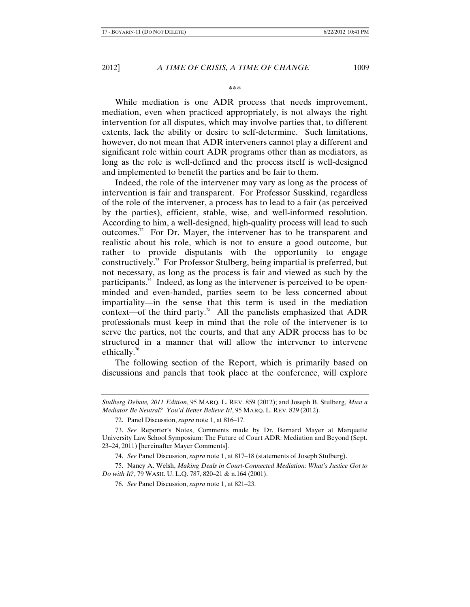\*\*\*

While mediation is one ADR process that needs improvement, mediation, even when practiced appropriately, is not always the right intervention for all disputes, which may involve parties that, to different extents, lack the ability or desire to self-determine. Such limitations, however, do not mean that ADR interveners cannot play a different and significant role within court ADR programs other than as mediators, as long as the role is well-defined and the process itself is well-designed and implemented to benefit the parties and be fair to them.

Indeed, the role of the intervener may vary as long as the process of intervention is fair and transparent. For Professor Susskind, regardless of the role of the intervener, a process has to lead to a fair (as perceived by the parties), efficient, stable, wise, and well-informed resolution. According to him, a well-designed, high-quality process will lead to such outcomes.<sup>72</sup> For Dr. Mayer, the intervener has to be transparent and realistic about his role, which is not to ensure a good outcome, but rather to provide disputants with the opportunity to engage constructively.73 For Professor Stulberg, being impartial is preferred, but not necessary, as long as the process is fair and viewed as such by the participants.<sup>74</sup> Indeed, as long as the intervener is perceived to be openminded and even-handed, parties seem to be less concerned about impartiality—in the sense that this term is used in the mediation context—of the third party.<sup>75</sup> All the panelists emphasized that ADR professionals must keep in mind that the role of the intervener is to serve the parties, not the courts, and that any ADR process has to be structured in a manner that will allow the intervener to intervene ethically.<sup>"</sup>

The following section of the Report, which is primarily based on discussions and panels that took place at the conference, will explore

*Stulberg Debate, 2011 Edition*, 95 MARQ. L. REV. 859 (2012); and Joseph B. Stulberg, *Must a Mediator Be Neutral? You'd Better Believe It!*, 95 MARQ. L. REV. 829 (2012).

<sup>72.</sup> Panel Discussion, *supra* note 1, at 816–17.

<sup>73.</sup> *See* Reporter's Notes, Comments made by Dr. Bernard Mayer at Marquette University Law School Symposium: The Future of Court ADR: Mediation and Beyond (Sept. 23–24, 2011) [hereinafter Mayer Comments].

<sup>74.</sup> *See* Panel Discussion, *supra* note 1, at 817–18 (statements of Joseph Stulberg).

<sup>75.</sup> Nancy A. Welsh, *Making Deals in Court-Connected Mediation: What's Justice Got to Do with It?*, 79 WASH. U. L.Q. 787, 820–21 & n.164 (2001).

<sup>76.</sup> *See* Panel Discussion, *supra* note 1, at 821–23.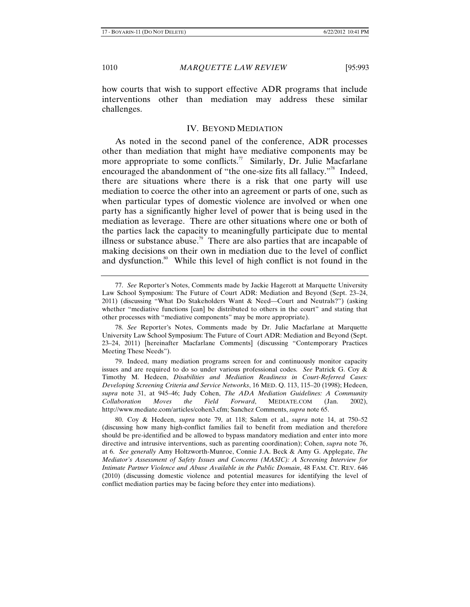how courts that wish to support effective ADR programs that include interventions other than mediation may address these similar challenges.

#### IV. BEYOND MEDIATION

As noted in the second panel of the conference, ADR processes other than mediation that might have mediative components may be more appropriate to some conflicts.<sup>77</sup> Similarly, Dr. Julie Macfarlane encouraged the abandonment of "the one-size fits all fallacy."<sup>78</sup> Indeed, there are situations where there is a risk that one party will use mediation to coerce the other into an agreement or parts of one, such as when particular types of domestic violence are involved or when one party has a significantly higher level of power that is being used in the mediation as leverage. There are other situations where one or both of the parties lack the capacity to meaningfully participate due to mental illness or substance abuse.<sup>79</sup> There are also parties that are incapable of making decisions on their own in mediation due to the level of conflict and dysfunction. $\frac{80}{10}$  While this level of high conflict is not found in the

<sup>77.</sup> *See* Reporter's Notes, Comments made by Jackie Hagerott at Marquette University Law School Symposium: The Future of Court ADR: Mediation and Beyond (Sept. 23–24, 2011) (discussing "What Do Stakeholders Want & Need—Court and Neutrals?") (asking whether "mediative functions [can] be distributed to others in the court" and stating that other processes with "mediative components" may be more appropriate).

<sup>78.</sup> *See* Reporter's Notes, Comments made by Dr. Julie Macfarlane at Marquette University Law School Symposium: The Future of Court ADR: Mediation and Beyond (Sept. 23–24, 2011) [hereinafter Macfarlane Comments] (discussing "Contemporary Practices Meeting These Needs").

<sup>79.</sup> Indeed, many mediation programs screen for and continuously monitor capacity issues and are required to do so under various professional codes. *See* Patrick G. Coy & Timothy M. Hedeen, *Disabilities and Mediation Readiness in Court-Referred Cases: Developing Screening Criteria and Service Networks*, 16 MED. Q. 113, 115–20 (1998); Hedeen, *supra* note 31, at 945–46; Judy Cohen, *The ADA Mediation Guidelines: A Community Collaboration Moves the Field Forward*, MEDIATE.COM (Jan. 2002), http://www.mediate.com/articles/cohen3.cfm; Sanchez Comments, *supra* note 65.

<sup>80.</sup> Coy & Hedeen, *supra* note 79, at 118; Salem et al., *supra* note 14, at 750–52 (discussing how many high-conflict families fail to benefit from mediation and therefore should be pre-identified and be allowed to bypass mandatory mediation and enter into more directive and intrusive interventions, such as parenting coordination); Cohen, *supra* note 76, at 6. *See generally* Amy Holtzworth-Munroe, Connie J.A. Beck & Amy G. Applegate, *The Mediator's Assessment of Safety Issues and Concerns (MASIC): A Screening Interview for Intimate Partner Violence and Abuse Available in the Public Domain*, 48 FAM. CT. REV. 646 (2010) (discussing domestic violence and potential measures for identifying the level of conflict mediation parties may be facing before they enter into mediations).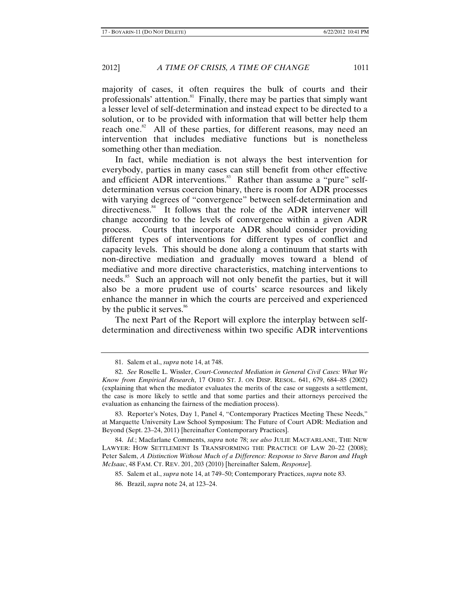majority of cases, it often requires the bulk of courts and their professionals' attention.<sup>81</sup> Finally, there may be parties that simply want a lesser level of self-determination and instead expect to be directed to a solution, or to be provided with information that will better help them reach one.<sup>82</sup> All of these parties, for different reasons, may need an intervention that includes mediative functions but is nonetheless something other than mediation.

In fact, while mediation is not always the best intervention for everybody, parties in many cases can still benefit from other effective and efficient ADR interventions.<sup>83</sup> Rather than assume a "pure" selfdetermination versus coercion binary, there is room for ADR processes with varying degrees of "convergence" between self-determination and directiveness.<sup>84</sup> It follows that the role of the ADR intervener will change according to the levels of convergence within a given ADR process. Courts that incorporate ADR should consider providing different types of interventions for different types of conflict and capacity levels. This should be done along a continuum that starts with non-directive mediation and gradually moves toward a blend of mediative and more directive characteristics, matching interventions to needs.<sup>85</sup> Such an approach will not only benefit the parties, but it will also be a more prudent use of courts' scarce resources and likely enhance the manner in which the courts are perceived and experienced by the public it serves.<sup>86</sup>

The next Part of the Report will explore the interplay between selfdetermination and directiveness within two specific ADR interventions

<sup>81.</sup> Salem et al., *supra* note 14, at 748.

<sup>82.</sup> *See* Roselle L. Wissler, *Court-Connected Mediation in General Civil Cases: What We Know from Empirical Research*, 17 OHIO ST. J. ON DISP. RESOL. 641, 679, 684–85 (2002) (explaining that when the mediator evaluates the merits of the case or suggests a settlement, the case is more likely to settle and that some parties and their attorneys perceived the evaluation as enhancing the fairness of the mediation process).

<sup>83.</sup> Reporter's Notes, Day 1, Panel 4, "Contemporary Practices Meeting These Needs," at Marquette University Law School Symposium: The Future of Court ADR: Mediation and Beyond (Sept. 23–24, 2011) [hereinafter Contemporary Practices].

<sup>84.</sup> *Id.*; Macfarlane Comments, *supra* note 78; *see also* JULIE MACFARLANE, THE NEW LAWYER: HOW SETTLEMENT IS TRANSFORMING THE PRACTICE OF LAW 20–22 (2008); Peter Salem, *A Distinction Without Much of a Difference: Response to Steve Baron and Hugh McIsaac*, 48 FAM. CT. REV. 201, 203 (2010) [hereinafter Salem, *Response*].

<sup>85.</sup> Salem et al., *supra* note 14, at 749–50; Contemporary Practices, *supra* note 83.

<sup>86.</sup> Brazil, *supra* note 24, at 123–24.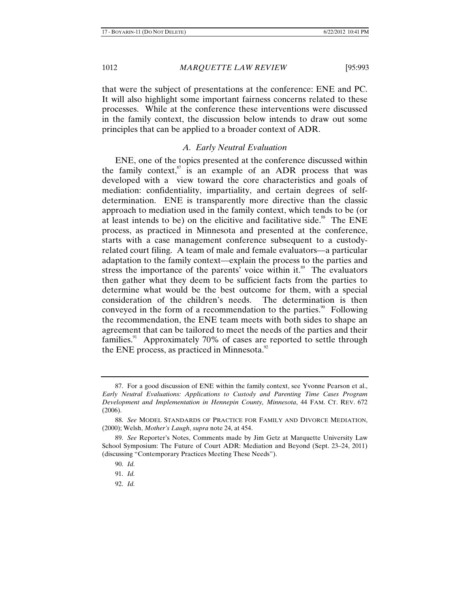that were the subject of presentations at the conference: ENE and PC. It will also highlight some important fairness concerns related to these processes. While at the conference these interventions were discussed in the family context, the discussion below intends to draw out some principles that can be applied to a broader context of ADR.

## *A. Early Neutral Evaluation*

ENE, one of the topics presented at the conference discussed within the family context, $s^7$  is an example of an ADR process that was developed with a view toward the core characteristics and goals of mediation: confidentiality, impartiality, and certain degrees of selfdetermination. ENE is transparently more directive than the classic approach to mediation used in the family context, which tends to be (or at least intends to be) on the elicitive and facilitative side. 88 The ENE process, as practiced in Minnesota and presented at the conference, starts with a case management conference subsequent to a custodyrelated court filing. A team of male and female evaluators—a particular adaptation to the family context—explain the process to the parties and stress the importance of the parents' voice within it. $\delta$ <sup>9</sup> The evaluators then gather what they deem to be sufficient facts from the parties to determine what would be the best outcome for them, with a special consideration of the children's needs. The determination is then conveyed in the form of a recommendation to the parties.<sup>90</sup> Following the recommendation, the ENE team meets with both sides to shape an agreement that can be tailored to meet the needs of the parties and their families.<sup>91</sup> Approximately 70% of cases are reported to settle through the ENE process, as practiced in Minnesota. $92$ 

<sup>87.</sup> For a good discussion of ENE within the family context, see Yvonne Pearson et al., *Early Neutral Evaluations: Applications to Custody and Parenting Time Cases Program Development and Implementation in Hennepin County, Minnesota*, 44 FAM. CT. REV. 672 (2006).

<sup>88.</sup> *See* MODEL STANDARDS OF PRACTICE FOR FAMILY AND DIVORCE MEDIATION, (2000); Welsh, *Mother's Laugh*, *supra* note 24, at 454.

<sup>89.</sup> *See* Reporter's Notes, Comments made by Jim Getz at Marquette University Law School Symposium: The Future of Court ADR: Mediation and Beyond (Sept. 23–24, 2011) (discussing "Contemporary Practices Meeting These Needs").

<sup>90.</sup> *Id.*

<sup>91.</sup> *Id.*

<sup>92.</sup> *Id.*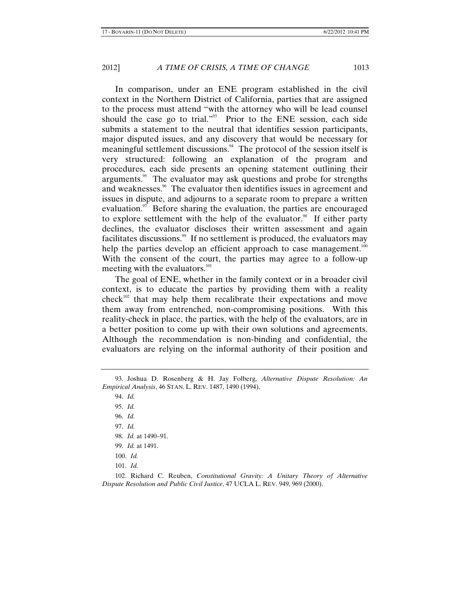In comparison, under an ENE program established in the civil context in the Northern District of California, parties that are assigned to the process must attend "with the attorney who will be lead counsel should the case go to trial." $93$  Prior to the ENE session, each side submits a statement to the neutral that identifies session participants, major disputed issues, and any discovery that would be necessary for meaningful settlement discussions.<sup>94</sup> The protocol of the session itself is very structured: following an explanation of the program and procedures, each side presents an opening statement outlining their arguments.<sup>95</sup> The evaluator may ask questions and probe for strengths and weaknesses.<sup>%</sup> The evaluator then identifies issues in agreement and issues in dispute, and adjourns to a separate room to prepare a written evaluation.<sup>97</sup> Before sharing the evaluation, the parties are encouraged to explore settlement with the help of the evaluator.<sup>98</sup> If either party declines, the evaluator discloses their written assessment and again facilitates discussions.<sup>99</sup> If no settlement is produced, the evaluators may help the parties develop an efficient approach to case management.<sup>100</sup> With the consent of the court, the parties may agree to a follow-up meeting with the evaluators. $101$ 

The goal of ENE, whether in the family context or in a broader civil context, is to educate the parties by providing them with a reality  $check<sup>102</sup>$  that may help them recalibrate their expectations and move them away from entrenched, non-compromising positions. With this reality-check in place, the parties, with the help of the evaluators, are in a better position to come up with their own solutions and agreements. Although the recommendation is non-binding and confidential, the evaluators are relying on the informal authority of their position and

101. *Id.*

<sup>93.</sup> [Joshua D. Rosenberg](http://web2.westlaw.com/find/default.wl?mt=208&db=PROFILER-WLD&docname=0392669401&rp=%2ffind%2fdefault.wl&findtype=h&ordoc=0104860231&tc=-1&vr=2.0&fn=_top&sv=Split&tf=-1&pbc=78BD3999&rs=WLW12.01) & H. Jay Folberg, *Alternative Dispute Resolution: An Empirical Analysis*, 46 STAN. L. REV. 1487, 1490 (1994).

<sup>94.</sup> *Id.*

<sup>95.</sup> *Id.*

<sup>96.</sup> *Id.*

<sup>97.</sup> *Id.*

<sup>98.</sup> *Id.* at 1490–91.

<sup>99.</sup> *Id.* at 1491.

<sup>100.</sup> *Id.*

<sup>102.</sup> Richard C. Reuben, *Constitutional Gravity: A Unitary Theory of Alternative Dispute Resolution and Public Civil Justice*, 47 UCLA L. REV. 949, 969 (2000).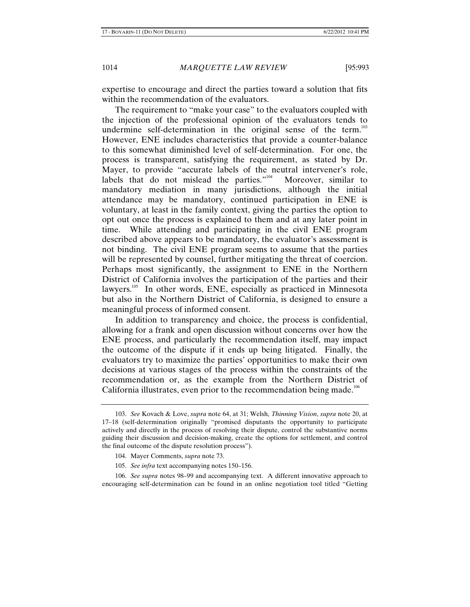expertise to encourage and direct the parties toward a solution that fits within the recommendation of the evaluators.

The requirement to "make your case" to the evaluators coupled with the injection of the professional opinion of the evaluators tends to undermine self-determination in the original sense of the term.<sup>103</sup> However, ENE includes characteristics that provide a counter-balance to this somewhat diminished level of self-determination. For one, the process is transparent, satisfying the requirement, as stated by Dr. Mayer, to provide "accurate labels of the neutral intervener's role, labels that do not mislead the parties." $104$  Moreover, similar to mandatory mediation in many jurisdictions, although the initial attendance may be mandatory, continued participation in ENE is voluntary, at least in the family context, giving the parties the option to opt out once the process is explained to them and at any later point in time. While attending and participating in the civil ENE program described above appears to be mandatory, the evaluator's assessment is not binding. The civil ENE program seems to assume that the parties will be represented by counsel, further mitigating the threat of coercion. Perhaps most significantly, the assignment to ENE in the Northern District of California involves the participation of the parties and their lawyers.<sup>105</sup> In other words, ENE, especially as practiced in Minnesota but also in the Northern District of California, is designed to ensure a meaningful process of informed consent.

In addition to transparency and choice, the process is confidential, allowing for a frank and open discussion without concerns over how the ENE process, and particularly the recommendation itself, may impact the outcome of the dispute if it ends up being litigated. Finally, the evaluators try to maximize the parties' opportunities to make their own decisions at various stages of the process within the constraints of the recommendation or, as the example from the Northern District of California illustrates, even prior to the recommendation being made.<sup>106</sup>

106. *See supra* notes 98–99 and accompanying text. A different innovative approach to encouraging self-determination can be found in an online negotiation tool titled "Getting

<sup>103.</sup> *See* Kovach & Love, *supra* note 64, at 31; Welsh, *Thinning Vision*, *supra* note 20, at 17–18 (self-determination originally "promised disputants the opportunity to participate actively and directly in the process of resolving their dispute, control the substantive norms guiding their discussion and decision-making, create the options for settlement, and control the final outcome of the dispute resolution process").

<sup>104.</sup> Mayer Comments, *supra* note 73.

<sup>105.</sup> *See infra* text accompanying notes 150–156.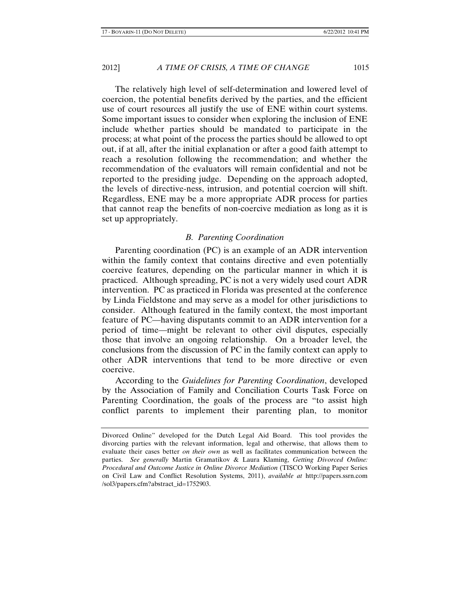The relatively high level of self-determination and lowered level of coercion, the potential benefits derived by the parties, and the efficient use of court resources all justify the use of ENE within court systems. Some important issues to consider when exploring the inclusion of ENE include whether parties should be mandated to participate in the process; at what point of the process the parties should be allowed to opt out, if at all, after the initial explanation or after a good faith attempt to reach a resolution following the recommendation; and whether the recommendation of the evaluators will remain confidential and not be reported to the presiding judge. Depending on the approach adopted, the levels of directive-ness, intrusion, and potential coercion will shift. Regardless, ENE may be a more appropriate ADR process for parties that cannot reap the benefits of non-coercive mediation as long as it is set up appropriately.

#### *B. Parenting Coordination*

Parenting coordination (PC) is an example of an ADR intervention within the family context that contains directive and even potentially coercive features, depending on the particular manner in which it is practiced. Although spreading, PC is not a very widely used court ADR intervention. PC as practiced in Florida was presented at the conference by Linda Fieldstone and may serve as a model for other jurisdictions to consider. Although featured in the family context, the most important feature of PC—having disputants commit to an ADR intervention for a period of time—might be relevant to other civil disputes, especially those that involve an ongoing relationship. On a broader level, the conclusions from the discussion of PC in the family context can apply to other ADR interventions that tend to be more directive or even coercive.

According to the *Guidelines for Parenting Coordination*, developed by the Association of Family and Conciliation Courts Task Force on Parenting Coordination, the goals of the process are "to assist high conflict parents to implement their parenting plan, to monitor

Divorced Online" developed for the Dutch Legal Aid Board. This tool provides the divorcing parties with the relevant information, legal and otherwise, that allows them to evaluate their cases better *on their own* as well as facilitates communication between the parties. *See generally* Martin Gramatikov & Laura Klaming, *Getting Divorced Online: Procedural and Outcome Justice in Online Divorce Mediation* (TISCO Working Paper Series on Civil Law and Conflict Resolution Systems, 2011), *available at* http://papers.ssrn.com /sol3/papers.cfm?abstract\_id=1752903.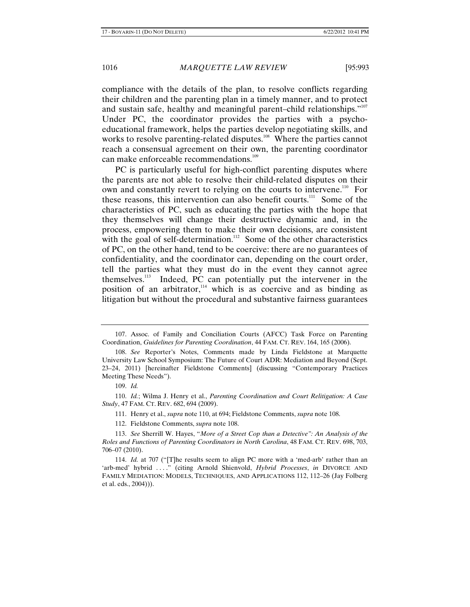compliance with the details of the plan, to resolve conflicts regarding their children and the parenting plan in a timely manner, and to protect and sustain safe, healthy and meaningful parent–child relationships."<sup>107</sup> Under PC, the coordinator provides the parties with a psychoeducational framework, helps the parties develop negotiating skills, and works to resolve parenting-related disputes.<sup>108</sup> Where the parties cannot reach a consensual agreement on their own, the parenting coordinator can make enforceable recommendations.<sup>109</sup>

PC is particularly useful for high-conflict parenting disputes where the parents are not able to resolve their child-related disputes on their own and constantly revert to relying on the courts to intervene.<sup>110</sup> For these reasons, this intervention can also benefit courts.<sup>111</sup> Some of the characteristics of PC, such as educating the parties with the hope that they themselves will change their destructive dynamic and, in the process, empowering them to make their own decisions, are consistent with the goal of self-determination.<sup>112</sup> Some of the other characteristics of PC, on the other hand, tend to be coercive: there are no guarantees of confidentiality, and the coordinator can, depending on the court order, tell the parties what they must do in the event they cannot agree themselves.<sup>113</sup> Indeed, PC can potentially put the intervener in the position of an arbitrator,<sup>114</sup> which is as coercive and as binding as litigation but without the procedural and substantive fairness guarantees

- 111. Henry et al., *supra* note 110, at 694; Fieldstone Comments, *supra* note 108.
- 112. Fieldstone Comments, *supra* note 108.

<sup>107.</sup> Assoc. of Family and Conciliation Courts (AFCC) Task Force on Parenting Coordination, *[Guidelines for Parenting Coordination](https://a.next.westlaw.com/Link/Document/FullText?findType=Y&serNum=0329258342&pubNum=139865&originationContext=document&transitionType=DocumentItem&contextData=(sc.Keycite)#co_pp_sp_139865_165)*, 44 FAM. CT. REV. 164, 165 (2006).

<sup>108.</sup> *See* Reporter's Notes, Comments made by Linda Fieldstone at Marquette University Law School Symposium: The Future of Court ADR: Mediation and Beyond (Sept. 23–24, 2011) [hereinafter Fieldstone Comments] (discussing "Contemporary Practices Meeting These Needs").

<sup>109.</sup> *Id.*

<sup>110.</sup> *Id.*; Wilma J. Henry et al., *[Parenting Coordination and Court Relitigation: A Case](https://a.next.westlaw.com/Link/Document/FullText?findType=Y&serNum=0346770874&pubNum=139865&originationContext=document&transitionType=DocumentItem&contextData=(sc.Keycite))  Study*, 47 FAM. CT. REV. [682, 694 \(2009\)](https://a.next.westlaw.com/Link/Document/FullText?findType=Y&serNum=0346770874&pubNum=139865&originationContext=document&transitionType=DocumentItem&contextData=(sc.Keycite)).

<sup>113.</sup> *See* Sherrill W. Hayes, "*More of a Street Cop than a Detective": An Analysis of the Roles and Functions of Parenting Coordinators in North Carolina*, 48 FAM. CT. REV. 698, 703, 706–07 (2010).

<sup>114.</sup> *Id.* at 707 ("[T]he results seem to align PC more with a 'med-arb' rather than an 'arb-med' hybrid . . . ." (citing Arnold Shienvold, *Hybrid Processes*, *in* DIVORCE AND FAMILY MEDIATION: MODELS, TECHNIQUES, AND APPLICATIONS 112, 112–26 (Jay Folberg et al. eds., 2004))).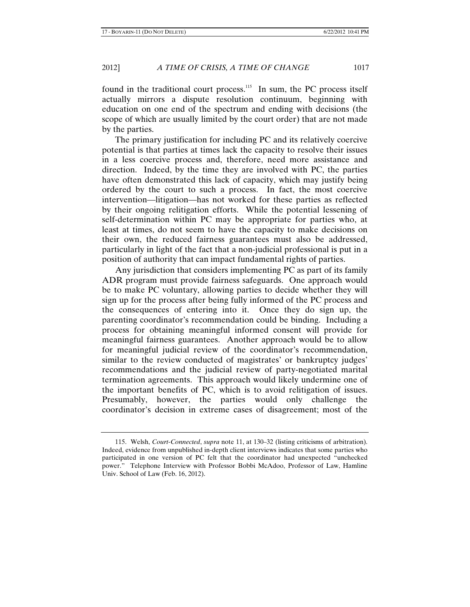found in the traditional court process.<sup>115</sup> In sum, the PC process itself actually mirrors a dispute resolution continuum, beginning with education on one end of the spectrum and ending with decisions (the scope of which are usually limited by the court order) that are not made by the parties.

The primary justification for including PC and its relatively coercive potential is that parties at times lack the capacity to resolve their issues in a less coercive process and, therefore, need more assistance and direction. Indeed, by the time they are involved with PC, the parties have often demonstrated this lack of capacity, which may justify being ordered by the court to such a process. In fact, the most coercive intervention—litigation—has not worked for these parties as reflected by their ongoing relitigation efforts. While the potential lessening of self-determination within PC may be appropriate for parties who, at least at times, do not seem to have the capacity to make decisions on their own, the reduced fairness guarantees must also be addressed, particularly in light of the fact that a non-judicial professional is put in a position of authority that can impact fundamental rights of parties.

Any jurisdiction that considers implementing PC as part of its family ADR program must provide fairness safeguards. One approach would be to make PC voluntary, allowing parties to decide whether they will sign up for the process after being fully informed of the PC process and the consequences of entering into it. Once they do sign up, the parenting coordinator's recommendation could be binding. Including a process for obtaining meaningful informed consent will provide for meaningful fairness guarantees. Another approach would be to allow for meaningful judicial review of the coordinator's recommendation, similar to the review conducted of magistrates' or bankruptcy judges' recommendations and the judicial review of party-negotiated marital termination agreements. This approach would likely undermine one of the important benefits of PC, which is to avoid relitigation of issues. Presumably, however, the parties would only challenge the coordinator's decision in extreme cases of disagreement; most of the

<sup>115.</sup> Welsh, *Court-Connected*, *supra* note 11, at 130–32 (listing criticisms of arbitration). Indeed, evidence from unpublished in-depth client interviews indicates that some parties who participated in one version of PC felt that the coordinator had unexpected "unchecked power." Telephone Interview with Professor Bobbi McAdoo, Professor of Law, Hamline Univ. School of Law (Feb. 16, 2012).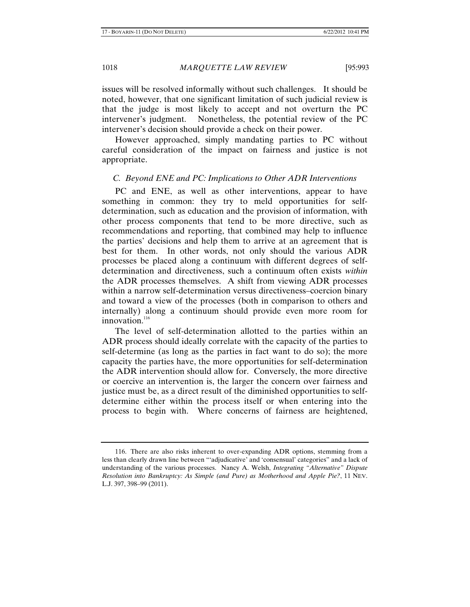issues will be resolved informally without such challenges. It should be noted, however, that one significant limitation of such judicial review is that the judge is most likely to accept and not overturn the PC intervener's judgment. Nonetheless, the potential review of the PC intervener's decision should provide a check on their power.

However approached, simply mandating parties to PC without careful consideration of the impact on fairness and justice is not appropriate.

#### *C. Beyond ENE and PC: Implications to Other ADR Interventions*

PC and ENE, as well as other interventions, appear to have something in common: they try to meld opportunities for selfdetermination, such as education and the provision of information, with other process components that tend to be more directive, such as recommendations and reporting, that combined may help to influence the parties' decisions and help them to arrive at an agreement that is best for them. In other words, not only should the various ADR processes be placed along a continuum with different degrees of selfdetermination and directiveness, such a continuum often exists *within* the ADR processes themselves. A shift from viewing ADR processes within a narrow self-determination versus directiveness–coercion binary and toward a view of the processes (both in comparison to others and internally) along a continuum should provide even more room for innovation. $116$ 

The level of self-determination allotted to the parties within an ADR process should ideally correlate with the capacity of the parties to self-determine (as long as the parties in fact want to do so); the more capacity the parties have, the more opportunities for self-determination the ADR intervention should allow for. Conversely, the more directive or coercive an intervention is, the larger the concern over fairness and justice must be, as a direct result of the diminished opportunities to selfdetermine either within the process itself or when entering into the process to begin with. Where concerns of fairness are heightened,

<sup>116.</sup> There are also risks inherent to over-expanding ADR options, stemming from a less than clearly drawn line between "'adjudicative' and 'consensual' categories" and a lack of understanding of the various processes. Nancy A. Welsh, *Integrating "Alternative" Dispute Resolution into Bankruptcy: As Simple (and Pure) as Motherhood and Apple Pie?*, 11 NEV. L.J. 397, 398–99 (2011).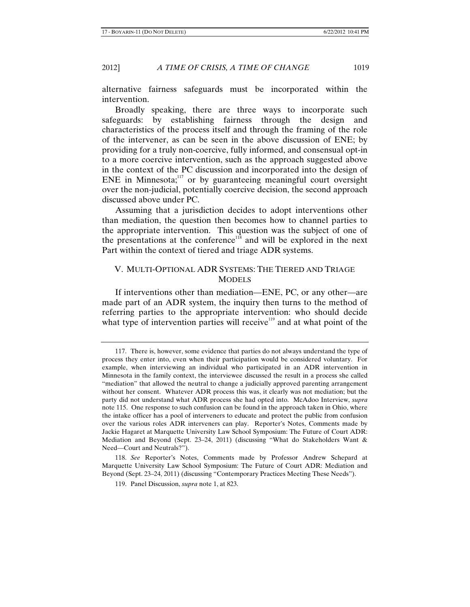alternative fairness safeguards must be incorporated within the intervention.

Broadly speaking, there are three ways to incorporate such safeguards: by establishing fairness through the design and characteristics of the process itself and through the framing of the role of the intervener, as can be seen in the above discussion of ENE; by providing for a truly non-coercive, fully informed, and consensual opt-in to a more coercive intervention, such as the approach suggested above in the context of the PC discussion and incorporated into the design of  $ENE$  in Minnesota; $117$  or by guaranteeing meaningful court oversight over the non-judicial, potentially coercive decision, the second approach discussed above under PC.

Assuming that a jurisdiction decides to adopt interventions other than mediation, the question then becomes how to channel parties to the appropriate intervention. This question was the subject of one of the presentations at the conference<sup>118</sup> and will be explored in the next Part within the context of tiered and triage ADR systems.

# V. MULTI-OPTIONAL ADR SYSTEMS: THE TIERED AND TRIAGE **MODELS**

If interventions other than mediation—ENE, PC, or any other—are made part of an ADR system, the inquiry then turns to the method of referring parties to the appropriate intervention: who should decide what type of intervention parties will receive<sup>119</sup> and at what point of the

118. *See* Reporter's Notes, Comments made by Professor Andrew Schepard at Marquette University Law School Symposium: The Future of Court ADR: Mediation and Beyond (Sept. 23–24, 2011) (discussing "Contemporary Practices Meeting These Needs").

<sup>117.</sup> There is, however, some evidence that parties do not always understand the type of process they enter into, even when their participation would be considered voluntary. For example, when interviewing an individual who participated in an ADR intervention in Minnesota in the family context, the interviewee discussed the result in a process she called "mediation" that allowed the neutral to change a judicially approved parenting arrangement without her consent. Whatever ADR process this was, it clearly was not mediation; but the party did not understand what ADR process she had opted into. McAdoo Interview, *supra*  note 115. One response to such confusion can be found in the approach taken in Ohio, where the intake officer has a pool of interveners to educate and protect the public from confusion over the various roles ADR interveners can play. Reporter's Notes, Comments made by Jackie Hagaret at Marquette University Law School Symposium: The Future of Court ADR: Mediation and Beyond (Sept. 23–24, 2011) (discussing "What do Stakeholders Want & Need—Court and Neutrals?").

<sup>119.</sup> Panel Discussion, *supra* note 1, at 823.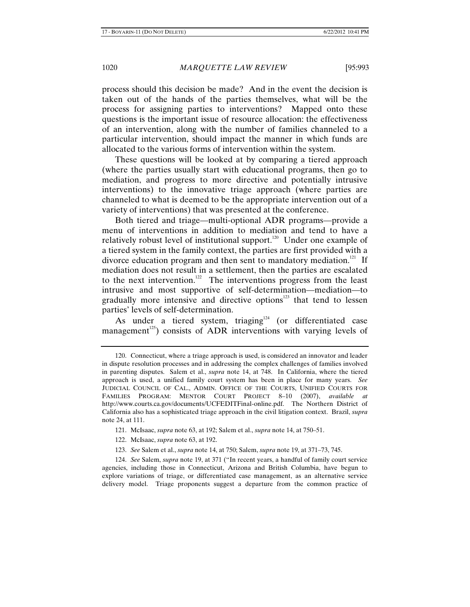process should this decision be made? And in the event the decision is taken out of the hands of the parties themselves, what will be the process for assigning parties to interventions? Mapped onto these questions is the important issue of resource allocation: the effectiveness of an intervention, along with the number of families channeled to a particular intervention, should impact the manner in which funds are allocated to the various forms of intervention within the system.

These questions will be looked at by comparing a tiered approach (where the parties usually start with educational programs, then go to mediation, and progress to more directive and potentially intrusive interventions) to the innovative triage approach (where parties are channeled to what is deemed to be the appropriate intervention out of a variety of interventions) that was presented at the conference.

Both tiered and triage—multi-optional ADR programs—provide a menu of interventions in addition to mediation and tend to have a relatively robust level of institutional support.<sup>120</sup> Under one example of a tiered system in the family context, the parties are first provided with a divorce education program and then sent to mandatory mediation.<sup>121</sup> If mediation does not result in a settlement, then the parties are escalated to the next intervention.<sup>122</sup> The interventions progress from the least intrusive and most supportive of self-determination—mediation—to gradually more intensive and directive options<sup>123</sup> that tend to lessen parties' levels of self-determination.

As under a tiered system, triaging<sup>124</sup> (or differentiated case management<sup>125</sup>) consists of ADR interventions with varying levels of

- 121. McIsaac, *supra* note 63, at 192; Salem et al., *supra* note 14, at 750–51.
- 122. McIsaac, *supra* note 63, at 192.
- 123. *See* Salem et al., *supra* note 14, at 750; Salem, *supra* [note 19, at 371–](https://a.next.westlaw.com/Link/Document/FullText?findType=Y&serNum=0345306062&pubNum=0139865&originationContext=document&transitionType=DocumentItem&contextData=(sc.Keycite))73, 745.

124. *See* Salem, *supra* note 19, at 371 ("In recent years, a handful of family court service agencies, including those in Connecticut, Arizona and British Columbia, have begun to explore variations of triage, or differentiated case management, as an alternative service delivery model. Triage proponents suggest a departure from the common practice of

<sup>120.</sup> Connecticut, where a triage approach is used, is considered an innovator and leader in dispute resolution processes and in addressing the complex challenges of families involved in parenting disputes. Salem et al., *supra* note 14, at 748. In California, where the tiered approach is used, a unified family court system has been in place for many years. *See* JUDICIAL COUNCIL OF CAL., ADMIN. OFFICE OF THE COURTS, UNIFIED COURTS FOR FAMILIES PROGRAM: MENTOR COURT PROJECT 8–10 (2007), *available at*  [http://www.courts.ca.gov/documents/UCFEDITFinal-online.pdf.](http://www.courts.ca.gov/documents/UCFEDITFinal-online.pdf) The Northern District of California also has a sophisticated triage approach in the civil litigation context. Brazil, *supra*  note 24, at 111.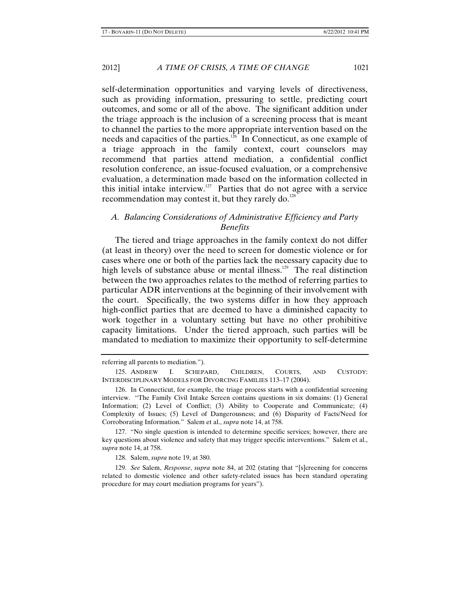self-determination opportunities and varying levels of directiveness, such as providing information, pressuring to settle, predicting court outcomes, and some or all of the above. The significant addition under the triage approach is the inclusion of a screening process that is meant to channel the parties to the more appropriate intervention based on the needs and capacities of the parties.<sup>126</sup> In Connecticut, as one example of a triage approach in the family context, court counselors may recommend that parties attend mediation, a confidential conflict resolution conference, an issue-focused evaluation, or a comprehensive evaluation, a determination made based on the information collected in this initial intake interview.<sup>127</sup> Parties that do not agree with a service recommendation may contest it, but they rarely do.<sup>128</sup>

# *A. Balancing Considerations of Administrative Efficiency and Party Benefits*

The tiered and triage approaches in the family context do not differ (at least in theory) over the need to screen for domestic violence or for cases where one or both of the parties lack the necessary capacity due to high levels of substance abuse or mental illness.<sup>129</sup> The real distinction between the two approaches relates to the method of referring parties to particular ADR interventions at the beginning of their involvement with the court. Specifically, the two systems differ in how they approach high-conflict parties that are deemed to have a diminished capacity to work together in a voluntary setting but have no other prohibitive capacity limitations. Under the tiered approach, such parties will be mandated to mediation to maximize their opportunity to self-determine

128. Salem, *supra* [note 19, at 380.](https://a.next.westlaw.com/Link/Document/FullText?findType=Y&serNum=0345306062&pubNum=0139865&originationContext=document&transitionType=DocumentItem&contextData=(sc.Keycite))

129. *See* Salem, *Response*, *supra* note 84, at 202 (stating that "[s]creening for concerns related to domestic violence and other safety-related issues has been standard operating procedure for may court mediation programs for years").

referring all parents to mediation.").

<sup>125.</sup> ANDREW I. SCHEPARD, CHILDREN, COURTS, AND CUSTODY: INTERDISCIPLINARY MODELS FOR DIVORCING FAMILIES 113–17 (2004).

<sup>126.</sup> In Connecticut, for example, the triage process starts with a confidential screening interview. "The Family Civil Intake Screen contains questions in six domains: (1) General Information; (2) Level of Conflict; (3) Ability to Cooperate and Communicate; (4) Complexity of Issues; (5) Level of Dangerousness; and (6) Disparity of Facts/Need for Corroborating Information." Salem et al., *supra* note 14, at 758.

<sup>127.</sup> "No single question is intended to determine specific services; however, there are key questions about violence and safety that may trigger specific interventions." Salem et al., *supra* note 14, at 758.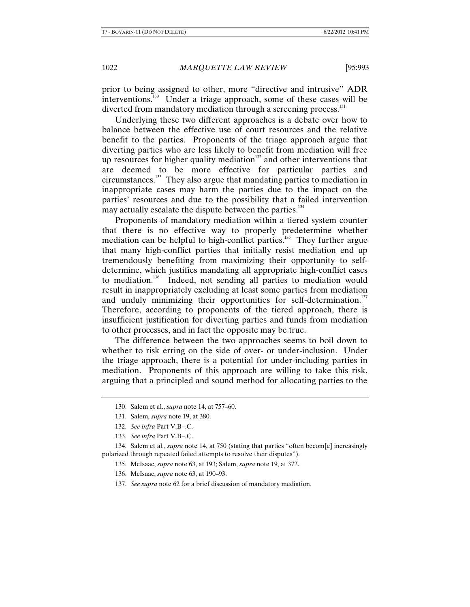prior to being assigned to other, more "directive and intrusive" ADR interventions.<sup>130</sup> Under a triage approach, some of these cases will be diverted from mandatory mediation through a screening process.<sup>131</sup>

Underlying these two different approaches is a debate over how to balance between the effective use of court resources and the relative benefit to the parties. Proponents of the triage approach argue that diverting parties who are less likely to benefit from mediation will free up resources for higher quality mediation<sup>132</sup> and other interventions that are deemed to be more effective for particular parties and circumstances.<sup>133</sup> They also argue that mandating parties to mediation in inappropriate cases may harm the parties due to the impact on the parties' resources and due to the possibility that a failed intervention may actually escalate the dispute between the parties.<sup>134</sup>

Proponents of mandatory mediation within a tiered system counter that there is no effective way to properly predetermine whether mediation can be helpful to high-conflict parties.<sup>135</sup> They further argue that many high-conflict parties that initially resist mediation end up tremendously benefiting from maximizing their opportunity to selfdetermine, which justifies mandating all appropriate high-conflict cases to mediation.<sup>136</sup> Indeed, not sending all parties to mediation would result in inappropriately excluding at least some parties from mediation and unduly minimizing their opportunities for self-determination.<sup>137</sup> Therefore, according to proponents of the tiered approach, there is insufficient justification for diverting parties and funds from mediation to other processes, and in fact the opposite may be true.

The difference between the two approaches seems to boil down to whether to risk erring on the side of over- or under-inclusion. Under the triage approach, there is a potential for under-including parties in mediation. Proponents of this approach are willing to take this risk, arguing that a principled and sound method for allocating parties to the

<sup>130.</sup> Salem et al., *supra* note 14, at 757–60.

<sup>131.</sup> Salem, *supra* [note 19, at 380.](https://a.next.westlaw.com/Link/Document/FullText?findType=Y&serNum=0345306062&pubNum=0139865&originationContext=document&transitionType=DocumentItem&contextData=(sc.Keycite))

<sup>132.</sup> *See infra* Part V.B–.C.

<sup>133.</sup> *See infra* Part V.B–.C.

<sup>134.</sup> Salem et al., *supra* note 14, at 750 (stating that parties "often becom[e] increasingly polarized through repeated failed attempts to resolve their disputes").

<sup>135.</sup> McIsaac, *supra* note 63, at 193; Salem, *supra* [note 19, at 372.](https://a.next.westlaw.com/Link/Document/FullText?findType=Y&serNum=0345306062&pubNum=0139865&originationContext=document&transitionType=DocumentItem&contextData=(sc.Keycite))

<sup>136.</sup> McIsaac, *supra* note 63, at 190–93.

<sup>137.</sup> *See supra* note 62 for a brief discussion of mandatory mediation.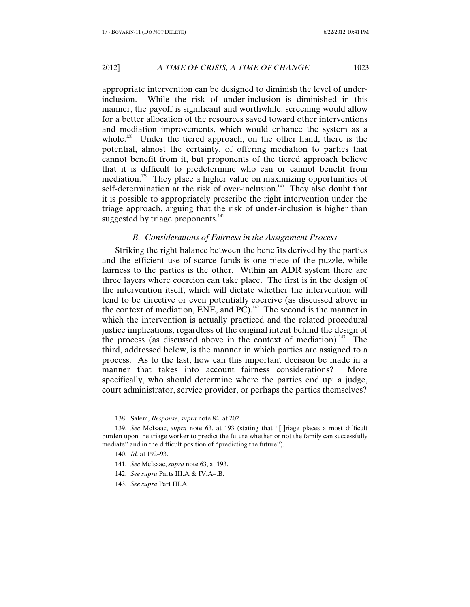appropriate intervention can be designed to diminish the level of underinclusion. While the risk of under-inclusion is diminished in this manner, the payoff is significant and worthwhile: screening would allow for a better allocation of the resources saved toward other interventions and mediation improvements, which would enhance the system as a whole.<sup>138</sup> Under the tiered approach, on the other hand, there is the potential, almost the certainty, of offering mediation to parties that cannot benefit from it, but proponents of the tiered approach believe that it is difficult to predetermine who can or cannot benefit from mediation.<sup>139</sup> They place a higher value on maximizing opportunities of self-determination at the risk of over-inclusion.<sup>140</sup> They also doubt that it is possible to appropriately prescribe the right intervention under the triage approach, arguing that the risk of under-inclusion is higher than suggested by triage proponents. $141$ 

#### *B. Considerations of Fairness in the Assignment Process*

Striking the right balance between the benefits derived by the parties and the efficient use of scarce funds is one piece of the puzzle, while fairness to the parties is the other. Within an ADR system there are three layers where coercion can take place. The first is in the design of the intervention itself, which will dictate whether the intervention will tend to be directive or even potentially coercive (as discussed above in the context of mediation, ENE, and PC).<sup>142</sup> The second is the manner in which the intervention is actually practiced and the related procedural justice implications, regardless of the original intent behind the design of the process (as discussed above in the context of mediation).<sup>143</sup> The third, addressed below, is the manner in which parties are assigned to a process. As to the last, how can this important decision be made in a manner that takes into account fairness considerations? More specifically, who should determine where the parties end up: a judge, court administrator, service provider, or perhaps the parties themselves?

- 142. *See supra* Parts III.A & IV.A–.B.
- 143. *See supra* Part III.A.

<sup>138.</sup> Salem, *Response*, *supra* note 84, at 202.

<sup>139.</sup> *See* McIsaac, *supra* note 63, at 193 (stating that "[t]riage places a most difficult burden upon the triage worker to predict the future whether or not the family can successfully mediate" and in the difficult position of "predicting the future").

<sup>140.</sup> *Id.* at 192–93.

<sup>141.</sup> *See* McIsaac, *supra* note 63, at 193.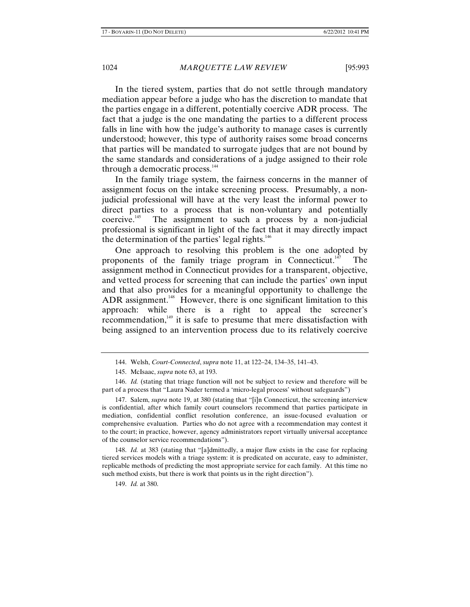In the tiered system, parties that do not settle through mandatory mediation appear before a judge who has the discretion to mandate that the parties engage in a different, potentially coercive ADR process. The fact that a judge is the one mandating the parties to a different process falls in line with how the judge's authority to manage cases is currently understood; however, this type of authority raises some broad concerns that parties will be mandated to surrogate judges that are not bound by the same standards and considerations of a judge assigned to their role through a democratic process.<sup>144</sup>

In the family triage system, the fairness concerns in the manner of assignment focus on the intake screening process. Presumably, a nonjudicial professional will have at the very least the informal power to direct parties to a process that is non-voluntary and potentially coercive.<sup>145</sup> The assignment to such a process by a non-judicial professional is significant in light of the fact that it may directly impact the determination of the parties' legal rights.<sup>146</sup>

One approach to resolving this problem is the one adopted by proponents of the family triage program in Connecticut.<sup>147</sup> The assignment method in Connecticut provides for a transparent, objective, and vetted process for screening that can include the parties' own input and that also provides for a meaningful opportunity to challenge the ADR assignment.<sup>148</sup> However, there is one significant limitation to this approach: while there is a right to appeal the screener's recommendation, $149$  it is safe to presume that mere dissatisfaction with being assigned to an intervention process due to its relatively coercive

148. *Id.* at 383 (stating that "[a]dmittedly, a major flaw exists in the case for replacing tiered services models with a triage system: it is predicated on accurate, easy to administer, replicable methods of predicting the most appropriate service for each family. At this time no such method exists, but there is work that points us in the right direction").

149. *Id.* at 380.

<sup>144.</sup> Welsh, *Court-Connected*, *supra* note 11, at 122–24, 134–35, 141–43.

<sup>145.</sup> McIsaac, *supra* note 63, at 193.

<sup>146.</sup> *Id.* (stating that triage function will not be subject to review and therefore will be part of a process that "Laura Nader termed a 'micro-legal process' without safeguards")

<sup>147.</sup> Salem, *supra* note 19, at 380 (stating that "[i]n Connecticut, the screening interview is confidential, after which family court counselors recommend that parties participate in mediation, confidential conflict resolution conference, an issue-focused evaluation or comprehensive evaluation. Parties who do not agree with a recommendation may contest it to the court; in practice, however, agency administrators report virtually universal acceptance of the counselor service recommendations").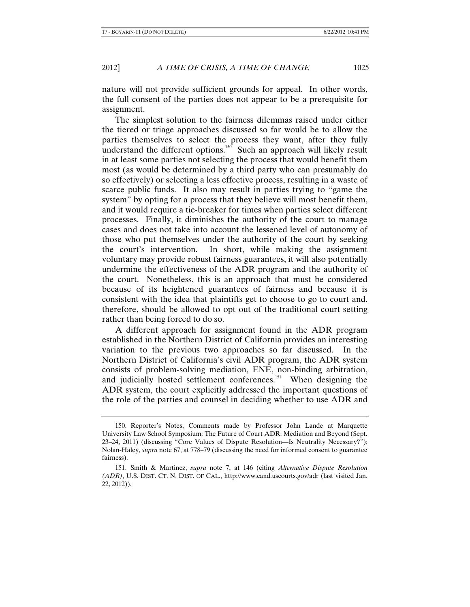nature will not provide sufficient grounds for appeal. In other words, the full consent of the parties does not appear to be a prerequisite for assignment.

The simplest solution to the fairness dilemmas raised under either the tiered or triage approaches discussed so far would be to allow the parties themselves to select the process they want, after they fully understand the different options.<sup>150</sup> Such an approach will likely result in at least some parties not selecting the process that would benefit them most (as would be determined by a third party who can presumably do so effectively) or selecting a less effective process, resulting in a waste of scarce public funds. It also may result in parties trying to "game the system" by opting for a process that they believe will most benefit them, and it would require a tie-breaker for times when parties select different processes. Finally, it diminishes the authority of the court to manage cases and does not take into account the lessened level of autonomy of those who put themselves under the authority of the court by seeking the court's intervention. In short, while making the assignment voluntary may provide robust fairness guarantees, it will also potentially undermine the effectiveness of the ADR program and the authority of the court. Nonetheless, this is an approach that must be considered because of its heightened guarantees of fairness and because it is consistent with the idea that plaintiffs get to choose to go to court and, therefore, should be allowed to opt out of the traditional court setting rather than being forced to do so.

A different approach for assignment found in the ADR program established in the Northern District of California provides an interesting variation to the previous two approaches so far discussed. In the Northern District of California's civil ADR program, the ADR system consists of problem-solving mediation, ENE, non-binding arbitration, and judicially hosted settlement conferences.<sup>151</sup> When designing the ADR system, the court explicitly addressed the important questions of the role of the parties and counsel in deciding whether to use ADR and

<sup>150.</sup> Reporter's Notes, Comments made by Professor John Lande at Marquette University Law School Symposium: The Future of Court ADR: Mediation and Beyond (Sept. 23–24, 2011) (discussing "Core Values of Dispute Resolution—Is Neutrality Necessary?"); Nolan-Haley, *supra* note 67, at 778–79 (discussing the need for informed consent to guarantee fairness).

<sup>151.</sup> [Smith & Martinez,](https://a.next.westlaw.com/Link/Document/FullText?findType=Y&serNum=0346443576&pubNum=111958&originationContext=document&transitionType=DocumentItem&contextData=(sc.Keycite)#co_pp_sp_111958_129) *supra* note 7, at 146 (citing *Alternative Dispute Resolution (ADR)*, U.S. DIST. CT. N. DIST. OF CAL., http://www.cand.uscourts.gov/adr (last visited Jan. 22, 2012)).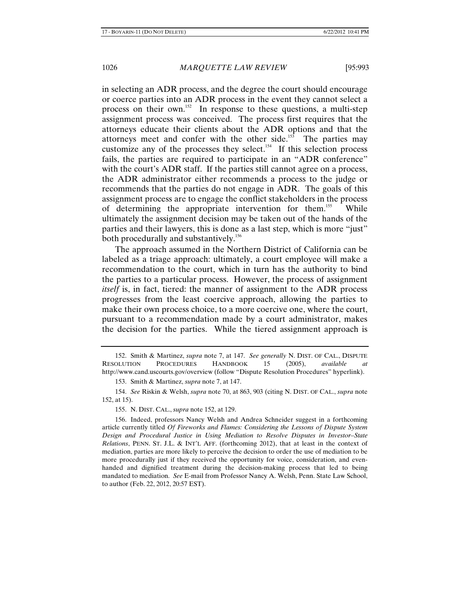in selecting an ADR process, and the degree the court should encourage or coerce parties into an ADR process in the event they cannot select a process on their own.<sup>152</sup> In response to these questions, a multi-step assignment process was conceived. The process first requires that the attorneys educate their clients about the ADR options and that the attorneys meet and confer with the other side.<sup>153</sup> The parties may customize any of the processes they select.<sup>154</sup> If this selection process fails, the parties are required to participate in an "ADR conference" with the court's ADR staff. If the parties still cannot agree on a process, the ADR administrator either recommends a process to the judge or recommends that the parties do not engage in ADR. The goals of this assignment process are to engage the conflict stakeholders in the process of determining the appropriate intervention for them.<sup>155</sup> While ultimately the assignment decision may be taken out of the hands of the parties and their lawyers, this is done as a last step, which is more "just" both procedurally and substantively.<sup>156</sup>

The approach assumed in the Northern District of California can be labeled as a triage approach: ultimately, a court employee will make a recommendation to the court, which in turn has the authority to bind the parties to a particular process. However, the process of assignment *itself* is, in fact, tiered: the manner of assignment to the ADR process progresses from the least coercive approach, allowing the parties to make their own process choice, to a more coercive one, where the court, pursuant to a recommendation made by a court administrator, makes the decision for the parties. While the tiered assignment approach is

<sup>152.</sup> Smith & Martinez, *supra* note 7, at 147. *See generally* N. DIST. OF CAL., DISPUTE RESOLUTION PROCEDURES HANDBOOK 15 (2005), *available at* http://www.cand.uscourts.gov/overview (follow "Dispute Resolution Procedures" hyperlink).

<sup>153.</sup> Smith & Martinez, *supra* note 7, at 147.

<sup>154.</sup> *See* [Riskin](http://web2.westlaw.com/result/result.aspx?origin=Search&cfid=1&referencepositiontype=T&eq=Welcome%2f208&rlti=1&rp=%2fWelcome%2f208%2fdefault.wl&method=TNC&rltdb=CLID_DB68272571420182&db=JLR&referenceposition=SR%3b5743&srch=TRUE&n=1&sri=325&fn=_top&fmqv=s&service=Search&query=%22IS+THAT+ALL+THERE+IS%22+%26+WELSH+%2f5+RISKIN&sskey=CLID_SSSA97288571420182&sv=Split&cnt=DOC&scxt=WL&rlt=CLID_QRYRLT87569571420182&rs=WLW12.01&ss=CNT&vr=2.0&mt=208) [& Welsh,](http://web2.westlaw.com/result/result.aspx?origin=Search&cfid=1&referencepositiontype=T&eq=Welcome%2f208&rlti=1&rp=%2fWelcome%2f208%2fdefault.wl&method=TNC&rltdb=CLID_DB68272571420182&db=JLR&referenceposition=SR%3b5746&srch=TRUE&n=1&sri=325&fn=_top&fmqv=s&service=Search&query=%22IS+THAT+ALL+THERE+IS%22+%26+WELSH+%2f5+RISKIN&sskey=CLID_SSSA97288571420182&sv=Split&cnt=DOC&scxt=WL&rlt=CLID_QRYRLT87569571420182&rs=WLW12.01&ss=CNT&vr=2.0&mt=208) *supra* note 70, at 863, 903 (citing N. DIST. OF CAL., *supra* note 152, at 15).

<sup>155.</sup> N. DIST. CAL., *supra* note 152, at 129.

<sup>156.</sup> Indeed, professors Nancy Welsh and Andrea Schneider suggest in a forthcoming article currently titled *Of Fireworks and Flames: Considering the Lessons of Dispute System Design and Procedural Justice in Using Mediation to Resolve Disputes in Investor–State Relations*, PENN. ST. J.L. & INT'L AFF. (forthcoming 2012), that at least in the context of mediation, parties are more likely to perceive the decision to order the use of mediation to be more procedurally just if they received the opportunity for voice, consideration, and evenhanded and dignified treatment during the decision-making process that led to being mandated to mediation. *See* E-mail from Professor Nancy A. Welsh, Penn. State Law School, to author (Feb. 22, 2012, 20:57 EST).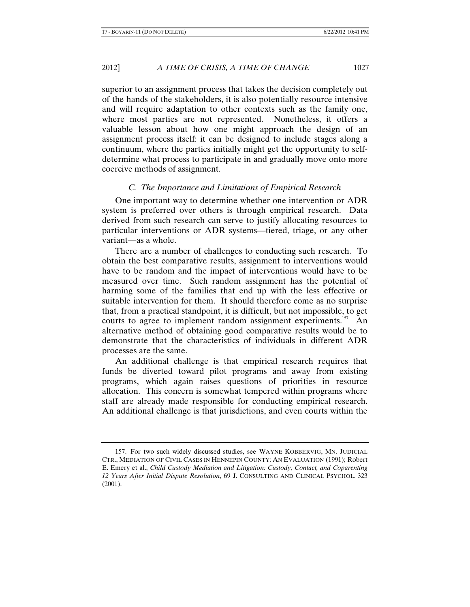superior to an assignment process that takes the decision completely out of the hands of the stakeholders, it is also potentially resource intensive and will require adaptation to other contexts such as the family one, where most parties are not represented. Nonetheless, it offers a valuable lesson about how one might approach the design of an assignment process itself: it can be designed to include stages along a continuum, where the parties initially might get the opportunity to selfdetermine what process to participate in and gradually move onto more coercive methods of assignment.

#### *C. The Importance and Limitations of Empirical Research*

One important way to determine whether one intervention or ADR system is preferred over others is through empirical research. Data derived from such research can serve to justify allocating resources to particular interventions or ADR systems—tiered, triage, or any other variant—as a whole.

There are a number of challenges to conducting such research. To obtain the best comparative results, assignment to interventions would have to be random and the impact of interventions would have to be measured over time. Such random assignment has the potential of harming some of the families that end up with the less effective or suitable intervention for them. It should therefore come as no surprise that, from a practical standpoint, it is difficult, but not impossible, to get courts to agree to implement random assignment experiments.<sup>157</sup> An alternative method of obtaining good comparative results would be to demonstrate that the characteristics of individuals in different ADR processes are the same.

An additional challenge is that empirical research requires that funds be diverted toward pilot programs and away from existing programs, which again raises questions of priorities in resource allocation. This concern is somewhat tempered within programs where staff are already made responsible for conducting empirical research. An additional challenge is that jurisdictions, and even courts within the

<sup>157.</sup> For two such widely discussed studies, see WAYNE KOBBERVIG, MN. JUDICIAL CTR., MEDIATION OF CIVIL CASES IN HENNEPIN COUNTY: AN EVALUATION (1991); Robert E. Emery et al., *Child Custody Mediation and Litigation: Custody, Contact, and Coparenting 12 Years After Initial Dispute Resolution*, 69 J. CONSULTING AND CLINICAL PSYCHOL. 323 (2001).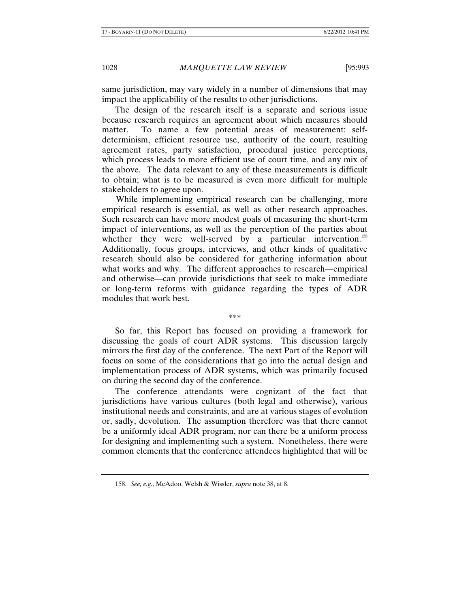same jurisdiction, may vary widely in a number of dimensions that may impact the applicability of the results to other jurisdictions.

The design of the research itself is a separate and serious issue because research requires an agreement about which measures should matter. To name a few potential areas of measurement: selfdeterminism, efficient resource use, authority of the court, resulting agreement rates, party satisfaction, procedural justice perceptions, which process leads to more efficient use of court time, and any mix of the above. The data relevant to any of these measurements is difficult to obtain; what is to be measured is even more difficult for multiple stakeholders to agree upon.

While implementing empirical research can be challenging, more empirical research is essential, as well as other research approaches. Such research can have more modest goals of measuring the short-term impact of interventions, as well as the perception of the parties about whether they were well-served by a particular intervention.<sup>158</sup> Additionally, focus groups, interviews, and other kinds of qualitative research should also be considered for gathering information about what works and why. The different approaches to research—empirical and otherwise—can provide jurisdictions that seek to make immediate or long-term reforms with guidance regarding the types of ADR modules that work best.

\*\*\*

So far, this Report has focused on providing a framework for discussing the goals of court ADR systems. This discussion largely mirrors the first day of the conference. The next Part of the Report will focus on some of the considerations that go into the actual design and implementation process of ADR systems, which was primarily focused on during the second day of the conference.

The conference attendants were cognizant of the fact that jurisdictions have various cultures (both legal and otherwise), various institutional needs and constraints, and are at various stages of evolution or, sadly, devolution. The assumption therefore was that there cannot be a uniformly ideal ADR program, nor can there be a uniform process for designing and implementing such a system. Nonetheless, there were common elements that the conference attendees highlighted that will be

<sup>158.</sup> *See, e.g.*, McAdoo, Welsh & Wissler, *supra* note 38, at 8.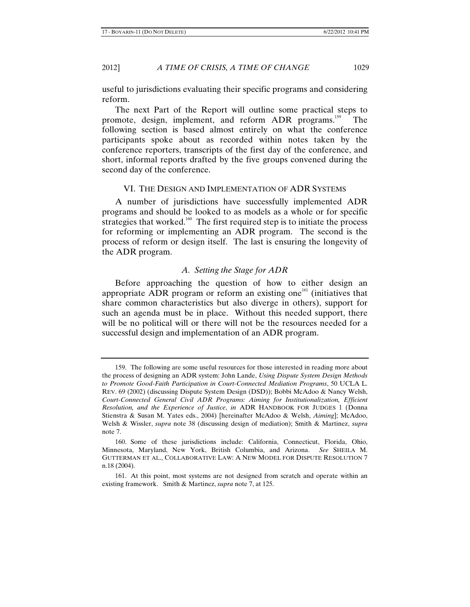useful to jurisdictions evaluating their specific programs and considering reform.

The next Part of the Report will outline some practical steps to promote, design, implement, and reform ADR programs.<sup>159</sup> The following section is based almost entirely on what the conference participants spoke about as recorded within notes taken by the conference reporters, transcripts of the first day of the conference, and short, informal reports drafted by the five groups convened during the second day of the conference.

#### VI. THE DESIGN AND IMPLEMENTATION OF ADR SYSTEMS

A number of jurisdictions have successfully implemented ADR programs and should be looked to as models as a whole or for specific strategies that worked. $160$  The first required step is to initiate the process for reforming or implementing an ADR program. The second is the process of reform or design itself. The last is ensuring the longevity of the ADR program.

#### *A. Setting the Stage for ADR*

Before approaching the question of how to either design an appropriate ADR program or reform an existing one<sup>161</sup> (initiatives that share common characteristics but also diverge in others), support for such an agenda must be in place. Without this needed support, there will be no political will or there will not be the resources needed for a successful design and implementation of an ADR program.

<sup>159.</sup> The following are some useful resources for those interested in reading more about the process of designing an ADR system: John Lande, *[Using Dispute System Design Methods](http://papers.ssrn.com/sol3/papers.cfm?abstract_id=358420)  [to Promote Good-Faith Participation in Court-Connected Mediation Programs](http://papers.ssrn.com/sol3/papers.cfm?abstract_id=358420)*, 50 UCLA L. REV. 69 (2002) (discussing Dispute System Design (DSD)); Bobbi McAdoo & Nancy Welsh, *[Court-Connected General Civil ADR Programs: Aiming for Institutionalization, Efficient](http://papers.ssrn.com/sol3/papers.cfm?abstract_id=1726213)  [Resolution, and the Experience of Justice](http://papers.ssrn.com/sol3/papers.cfm?abstract_id=1726213)*, *in* ADR HANDBOOK FOR JUDGES 1 (Donna Stienstra & Susan M. Yates eds., 2004) [hereinafter McAdoo & Welsh, *Aiming*]; McAdoo, Welsh & Wissler, *supra* note 38 (discussing design of mediation); [Smith & Martinez,](https://a.next.westlaw.com/Link/Document/FullText?findType=Y&serNum=0346443576&pubNum=111958&originationContext=document&transitionType=DocumentItem&contextData=(sc.Keycite)#co_pp_sp_111958_129) *supra* [note 7](https://a.next.westlaw.com/Link/Document/FullText?findType=Y&serNum=0346443576&pubNum=111958&originationContext=document&transitionType=DocumentItem&contextData=(sc.Keycite)#co_pp_sp_111958_129).

<sup>160.</sup> Some of these jurisdictions include: California, Connecticut, Florida, Ohio, Minnesota, Maryland, New York, British Columbia, and Arizona. *See* SHEILA M. GUTTERMAN ET AL., COLLABORATIVE LAW: A NEW MODEL FOR DISPUTE RESOLUTION 7 n.18 (2004).

<sup>161.</sup> At this point, most systems are not designed from scratch and operate within an existing framework. [Smith & Martinez,](https://a.next.westlaw.com/Link/Document/FullText?findType=Y&serNum=0346443576&pubNum=111958&originationContext=document&transitionType=DocumentItem&contextData=(sc.Keycite)#co_pp_sp_111958_129) *supra* note 7, a[t 125.](https://a.next.westlaw.com/Link/Document/FullText?findType=Y&serNum=0346443576&pubNum=111958&originationContext=document&transitionType=DocumentItem&contextData=(sc.Keycite)#co_pp_sp_111958_129)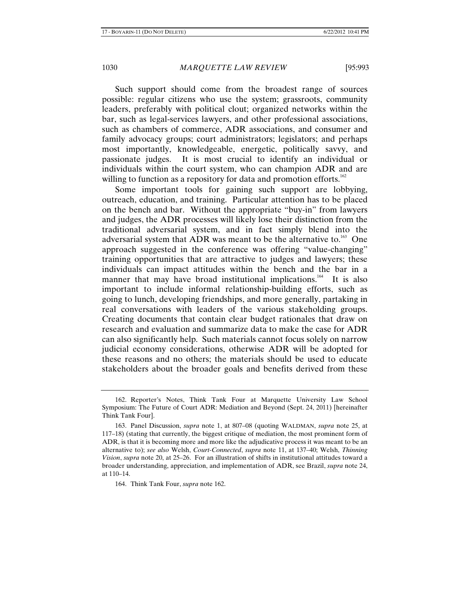Such support should come from the broadest range of sources possible: regular citizens who use the system; grassroots, community leaders, preferably with political clout; organized networks within the bar, such as legal-services lawyers, and other professional associations, such as chambers of commerce, ADR associations, and consumer and family advocacy groups; court administrators; legislators; and perhaps most importantly, knowledgeable, energetic, politically savvy, and passionate judges. It is most crucial to identify an individual or individuals within the court system, who can champion ADR and are willing to function as a repository for data and promotion efforts.<sup>162</sup>

Some important tools for gaining such support are lobbying, outreach, education, and training. Particular attention has to be placed on the bench and bar. Without the appropriate "buy-in" from lawyers and judges, the ADR processes will likely lose their distinction from the traditional adversarial system, and in fact simply blend into the adversarial system that ADR was meant to be the alternative to.<sup>163</sup> One approach suggested in the conference was offering "value-changing" training opportunities that are attractive to judges and lawyers; these individuals can impact attitudes within the bench and the bar in a manner that may have broad institutional implications.<sup>164</sup> It is also important to include informal relationship-building efforts, such as going to lunch, developing friendships, and more generally, partaking in real conversations with leaders of the various stakeholding groups. Creating documents that contain clear budget rationales that draw on research and evaluation and summarize data to make the case for ADR can also significantly help. Such materials cannot focus solely on narrow judicial economy considerations, otherwise ADR will be adopted for these reasons and no others; the materials should be used to educate stakeholders about the broader goals and benefits derived from these

164. Think Tank Four, *supra* note 162.

<sup>162.</sup> Reporter's Notes, Think Tank Four at Marquette University Law School Symposium: The Future of Court ADR: Mediation and Beyond (Sept. 24, 2011) [hereinafter Think Tank Four].

<sup>163.</sup> Panel Discussion, *supra* note 1, at 807–08 (quoting WALDMAN, *supra* note 25, at 117–18) (stating that currently, the biggest critique of mediation, the most prominent form of ADR, is that it is becoming more and more like the adjudicative process it was meant to be an alternative to); *see also* Welsh, *Court-Connected*, *supra* note 11, at 137–40; Welsh, *Thinning Vision*, *supra* note 20, at 25–26. For an illustration of shifts in institutional attitudes toward a broader understanding, appreciation, and implementation of ADR, see Brazil, *supra* note 24, at 110–14.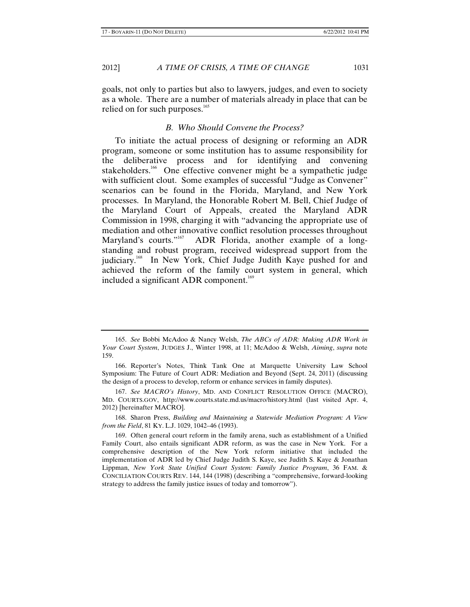goals, not only to parties but also to lawyers, judges, and even to society as a whole. There are a number of materials already in place that can be relied on for such purposes. $165$ 

#### *B. Who Should Convene the Process?*

To initiate the actual process of designing or reforming an ADR program, someone or some institution has to assume responsibility for the deliberative process and for identifying and convening stakeholders.<sup>166</sup> One effective convener might be a sympathetic judge with sufficient clout. Some examples of successful "Judge as Convener" scenarios can be found in the Florida, Maryland, and New York processes. In Maryland, the Honorable Robert M. Bell, Chief Judge of the Maryland Court of Appeals, created the Maryland ADR Commission in 1998, charging it with "advancing the appropriate use of mediation and other innovative conflict resolution processes throughout Maryland's courts."<sup>167</sup> ADR Florida, another example of a longstanding and robust program, received widespread support from the judiciary.<sup>168</sup> In New York, Chief Judge Judith Kaye pushed for and achieved the reform of the family court system in general, which included a significant ADR component.<sup>169</sup>

168. Sharon Press, *[Building and Maintaining a Statewide Mediation Program: A View](https://a.next.westlaw.com/Link/Document/FullText?findType=Y&serNum=0103212761&pubNum=1178&originationContext=document&transitionType=DocumentItem&contextData=%28sc.Keycite%29)  from the Field*, 81 KY. L.J. [1029, 1042–46 \(1993\).](https://a.next.westlaw.com/Link/Document/FullText?findType=Y&serNum=0103212761&pubNum=1178&originationContext=document&transitionType=DocumentItem&contextData=%28sc.Keycite%29)

<sup>165.</sup> *See* Bobbi McAdoo & Nancy Welsh, *The ABCs of ADR: Making ADR Work in Your Court System*, JUDGES J., Winter 1998, at 11; McAdoo & Welsh, *Aiming*, *supra* note 159.

<sup>166.</sup> Reporter's Notes, Think Tank One at Marquette University Law School Symposium: The Future of Court ADR: Mediation and Beyond (Sept. 24, 2011) (discussing the design of a process to develop, reform or enhance services in family disputes).

<sup>167.</sup> *See MACRO's History*, MD. AND CONFLICT RESOLUTION OFFICE (MACRO), MD. COURTS.GOV, http://www.courts.state.md.us/macro/history.html (last visited Apr. 4, 2012) [hereinafter MACRO].

<sup>169.</sup> Often general court reform in the family arena, such as establishment of a Unified Family Court, also entails significant ADR reform, as was the case in New York. For a comprehensive description of the New York reform initiative that included the implementation of ADR led by Chief Judge Judith S. Kaye, see Judith S. Kaye & Jonathan Lippman, *New York State Unified Court System: Family Justice Program*, 36 FAM. & CONCILIATION COURTS REV. 144, 144 (1998) (describing a "comprehensive, forward-looking strategy to address the family justice issues of today and tomorrow").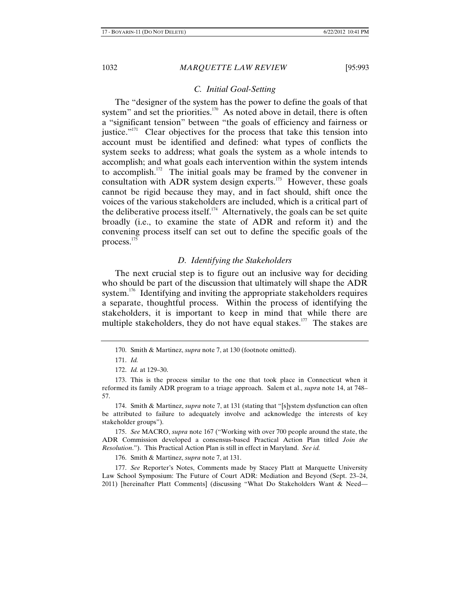#### *C. Initial Goal-Setting*

The "designer of the system has the power to define the goals of that system" and set the priorities.<sup>170</sup> As noted above in detail, there is often a "significant tension" between "the goals of efficiency and fairness or justice."<sup>171</sup> Clear objectives for the process that take this tension into account must be identified and defined: what types of conflicts the system seeks to address; what goals the system as a whole intends to accomplish; and what goals each intervention within the system intends to accomplish.<sup>172</sup> The initial goals may be framed by the convener in consultation with ADR system design experts.<sup>173</sup> However, these goals cannot be rigid because they may, and in fact should, shift once the voices of the various stakeholders are included, which is a critical part of the deliberative process itself.<sup> $174$ </sup> Alternatively, the goals can be set quite broadly (i.e., to examine the state of ADR and reform it) and the convening process itself can set out to define the specific goals of the process. $175$ 

#### *D. Identifying the Stakeholders*

The next crucial step is to figure out an inclusive way for deciding who should be part of the discussion that ultimately will shape the ADR system.<sup>176</sup> Identifying and inviting the appropriate stakeholders requires a separate, thoughtful process. Within the process of identifying the stakeholders, it is important to keep in mind that while there are multiple stakeholders, they do not have equal stakes.<sup>177</sup> The stakes are

176. [Smith & Martinez,](https://a.next.westlaw.com/Link/Document/FullText?findType=Y&serNum=0346443576&pubNum=111958&originationContext=document&transitionType=DocumentItem&contextData=(sc.Keycite)#co_pp_sp_111958_129) *supra* note 7, at 131.

177. *See* Reporter's Notes, Comments made by Stacey Platt at Marquette University Law School Symposium: The Future of Court ADR: Mediation and Beyond (Sept. 23–24, 2011) [hereinafter Platt Comments] (discussing "What Do Stakeholders Want & Need—

<sup>170.</sup> [Smith & Martinez,](https://a.next.westlaw.com/Link/Document/FullText?findType=Y&serNum=0346443576&pubNum=111958&originationContext=document&transitionType=DocumentItem&contextData=(sc.Keycite)#co_pp_sp_111958_129) *supra* note 7, at 130 (footnote omitted).

<sup>171.</sup> *Id.*

<sup>172.</sup> *Id.* [at 129–30.](https://a.next.westlaw.com/Link/Document/FullText?findType=Y&serNum=0346443576&pubNum=111958&originationContext=document&transitionType=DocumentItem&contextData=(sc.Keycite)#co_pp_sp_111958_129) 

<sup>173.</sup> This is the process similar to the one that took place in Connecticut when it reformed its family ADR program to a triage approach. Salem et al., *supra* note 14, at 748– 57.

<sup>174.</sup> Smith & Martinez, *supra* note 7, at 131 (stating that "[s]ystem dysfunction can often be attributed to failure to adequately involve and acknowledge the interests of key stakeholder groups").

<sup>175.</sup> *See* MACRO, *supra* note 167 ("Working with over 700 people around the state, the ADR Commission developed a consensus-based Practical Action Plan titled *[Join the](http://www.courts.state.md.us/macro/joinresolution.html)  [Resolution](http://www.courts.state.md.us/macro/joinresolution.html)*."). This Practical Action Plan is still in effect in Maryland. *See id.*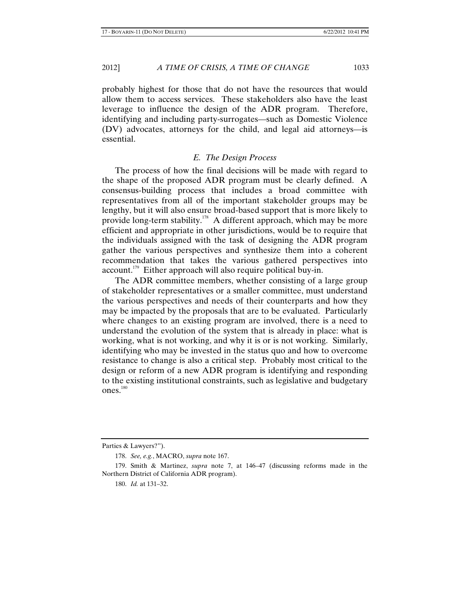probably highest for those that do not have the resources that would allow them to access services. These stakeholders also have the least leverage to influence the design of the ADR program. Therefore, identifying and including party-surrogates—such as Domestic Violence (DV) advocates, attorneys for the child, and legal aid attorneys—is essential.

#### *E. The Design Process*

The process of how the final decisions will be made with regard to the shape of the proposed ADR program must be clearly defined. A consensus-building process that includes a broad committee with representatives from all of the important stakeholder groups may be lengthy, but it will also ensure broad-based support that is more likely to provide long-term stability.<sup>178</sup> A different approach, which may be more efficient and appropriate in other jurisdictions, would be to require that the individuals assigned with the task of designing the ADR program gather the various perspectives and synthesize them into a coherent recommendation that takes the various gathered perspectives into  $account.<sup>179</sup>$  Either approach will also require political buy-in.

The ADR committee members, whether consisting of a large group of stakeholder representatives or a smaller committee, must understand the various perspectives and needs of their counterparts and how they may be impacted by the proposals that are to be evaluated. Particularly where changes to an existing program are involved, there is a need to understand the evolution of the system that is already in place: what is working, what is not working, and why it is or is not working. Similarly, identifying who may be invested in the status quo and how to overcome resistance to change is also a critical step. Probably most critical to the design or reform of a new ADR program is identifying and responding to the existing institutional constraints, such as legislative and budgetary ones. 180

Parties & Lawyers?").

<sup>178.</sup> *See, e.g.*, MACRO, *supra* note 167.

<sup>179.</sup> [Smith & Martinez,](https://a.next.westlaw.com/Link/Document/FullText?findType=Y&serNum=0346443576&pubNum=111958&originationContext=document&transitionType=DocumentItem&contextData=(sc.Keycite)#co_pp_sp_111958_129) *supra* note 7, at 146–47 (discussing reforms made in the Northern District of California ADR program).

<sup>180.</sup> *Id.* at 131–32.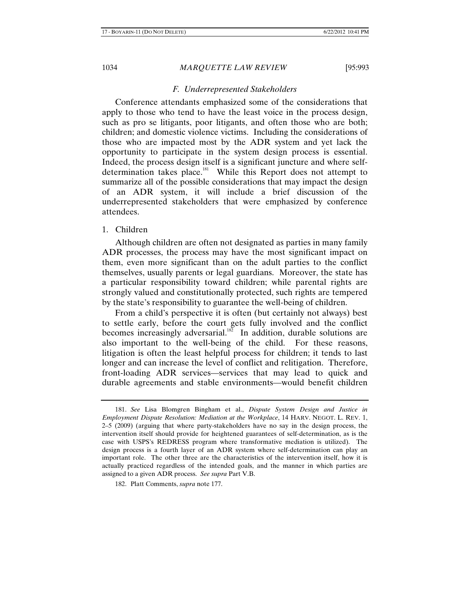#### *F. Underrepresented Stakeholders*

Conference attendants emphasized some of the considerations that apply to those who tend to have the least voice in the process design, such as pro se litigants, poor litigants, and often those who are both; children; and domestic violence victims. Including the considerations of those who are impacted most by the ADR system and yet lack the opportunity to participate in the system design process is essential. Indeed, the process design itself is a significant juncture and where selfdetermination takes place.<sup>181</sup> While this Report does not attempt to summarize all of the possible considerations that may impact the design of an ADR system, it will include a brief discussion of the underrepresented stakeholders that were emphasized by conference attendees.

#### 1. Children

Although children are often not designated as parties in many family ADR processes, the process may have the most significant impact on them, even more significant than on the adult parties to the conflict themselves, usually parents or legal guardians. Moreover, the state has a particular responsibility toward children; while parental rights are strongly valued and constitutionally protected, such rights are tempered by the state's responsibility to guarantee the well-being of children.

From a child's perspective it is often (but certainly not always) best to settle early, before the court gets fully involved and the conflict becomes increasingly adversarial.<sup>182</sup> In addition, durable solutions are also important to the well-being of the child. For these reasons, litigation is often the least helpful process for children; it tends to last longer and can increase the level of conflict and relitigation. Therefore, front-loading ADR services—services that may lead to quick and durable agreements and stable environments—would benefit children

<sup>181.</sup> *See* Lisa Blomgren Bingham et al., *Dispute System Design and Justice in Employment Dispute Resolution: Mediation at the Workplace*, 14 HARV. NEGOT. L. REV. 1, 2–5 (2009) (arguing that where party-stakeholders have no say in the design process, the intervention itself should provide for heightened guarantees of self-determination, as is the case with USPS's REDRESS program where transformative mediation is utilized). The design process is a fourth layer of an ADR system where self-determination can play an important role. The other three are the characteristics of the intervention itself, how it is actually practiced regardless of the intended goals, and the manner in which parties are assigned to a given ADR process. *See supra* Part V.B.

<sup>182.</sup> Platt Comments, *supra* note 177.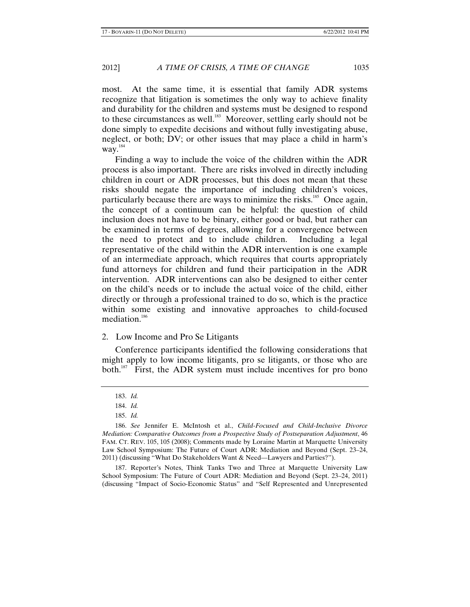most. At the same time, it is essential that family ADR systems recognize that litigation is sometimes the only way to achieve finality and durability for the children and systems must be designed to respond to these circumstances as well. $183$  Moreover, settling early should not be done simply to expedite decisions and without fully investigating abuse, neglect, or both; DV; or other issues that may place a child in harm's way.<sup>184</sup>

Finding a way to include the voice of the children within the ADR process is also important. There are risks involved in directly including children in court or ADR processes, but this does not mean that these risks should negate the importance of including children's voices, particularly because there are ways to minimize the risks.<sup>185</sup> Once again, the concept of a continuum can be helpful: the question of child inclusion does not have to be binary, either good or bad, but rather can be examined in terms of degrees, allowing for a convergence between the need to protect and to include children. Including a legal representative of the child within the ADR intervention is one example of an intermediate approach, which requires that courts appropriately fund attorneys for children and fund their participation in the ADR intervention. ADR interventions can also be designed to either center on the child's needs or to include the actual voice of the child, either directly or through a professional trained to do so, which is the practice within some existing and innovative approaches to child-focused mediation.<sup>186</sup>

#### 2. Low Income and Pro Se Litigants

Conference participants identified the following considerations that might apply to low income litigants, pro se litigants, or those who are both.<sup>187</sup> First, the ADR system must include incentives for pro bono

187. Reporter's Notes, Think Tanks Two and Three at Marquette University Law School Symposium: The Future of Court ADR: Mediation and Beyond (Sept. 23–24, 2011) (discussing "Impact of Socio-Economic Status" and "Self Represented and Unrepresented

<sup>183.</sup> *Id.*

<sup>184.</sup> *Id.*

<sup>185.</sup> *Id.*

<sup>186.</sup> *See* Jennifer E. McIntosh et al., *[Child-Focused and Child-Inclusive Divorce](http://law.marquette.edu/courtadr/wp-content/uploads/2011/08/Child-Focused-and-Child-Inclusive-Divorce.pdf)  [Mediation: Comparative Outcomes from a Prospective Study of Postseparation Adjustment](http://law.marquette.edu/courtadr/wp-content/uploads/2011/08/Child-Focused-and-Child-Inclusive-Divorce.pdf)*, 46 FAM. CT. REV. 105, 105 (2008); Comments made by Loraine Martin at Marquette University Law School Symposium: The Future of Court ADR: Mediation and Beyond (Sept. 23–24, 2011) (discussing "What Do Stakeholders Want & Need—Lawyers and Parties?").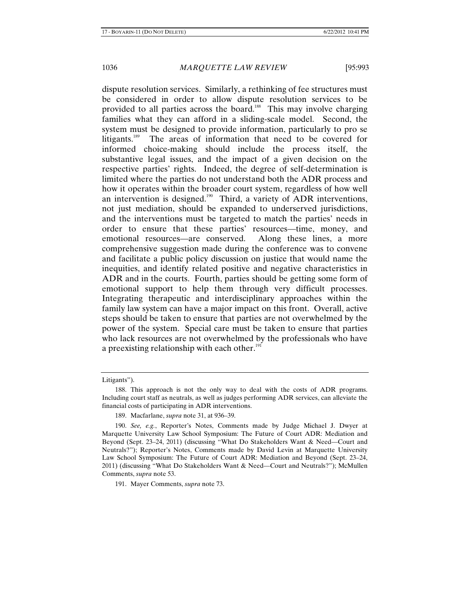dispute resolution services. Similarly, a rethinking of fee structures must be considered in order to allow dispute resolution services to be provided to all parties across the board.<sup>188</sup> This may involve charging families what they can afford in a sliding-scale model. Second, the system must be designed to provide information, particularly to pro se litigants.<sup>189</sup> The areas of information that need to be covered for informed choice-making should include the process itself, the substantive legal issues, and the impact of a given decision on the respective parties' rights. Indeed, the degree of self-determination is limited where the parties do not understand both the ADR process and how it operates within the broader court system, regardless of how well an intervention is designed.<sup>190</sup> Third, a variety of ADR interventions, not just mediation, should be expanded to underserved jurisdictions, and the interventions must be targeted to match the parties' needs in order to ensure that these parties' resources—time, money, and emotional resources—are conserved. Along these lines, a more comprehensive suggestion made during the conference was to convene and facilitate a public policy discussion on justice that would name the inequities, and identify related positive and negative characteristics in ADR and in the courts. Fourth, parties should be getting some form of emotional support to help them through very difficult processes. Integrating therapeutic and interdisciplinary approaches within the family law system can have a major impact on this front. Overall, active steps should be taken to ensure that parties are not overwhelmed by the power of the system. Special care must be taken to ensure that parties who lack resources are not overwhelmed by the professionals who have a preexisting relationship with each other. $191$ 

Litigants").

<sup>188.</sup> This approach is not the only way to deal with the costs of ADR programs. Including court staff as neutrals, as well as judges performing ADR services, can alleviate the financial costs of participating in ADR interventions.

<sup>189.</sup> Macfarlane, *supra* note 31, at 936–39.

<sup>190.</sup> *See, e.g.*, Reporter's Notes, Comments made by Judge Michael J. Dwyer at Marquette University Law School Symposium: The Future of Court ADR: Mediation and Beyond (Sept. 23–24, 2011) (discussing "What Do Stakeholders Want & Need—Court and Neutrals?"); Reporter's Notes, Comments made by David Levin at Marquette University Law School Symposium: The Future of Court ADR: Mediation and Beyond (Sept. 23–24, 2011) (discussing "What Do Stakeholders Want & Need—Court and Neutrals?"); McMullen Comments, *supra* note 53.

<sup>191.</sup> Mayer Comments, *supra* note 73.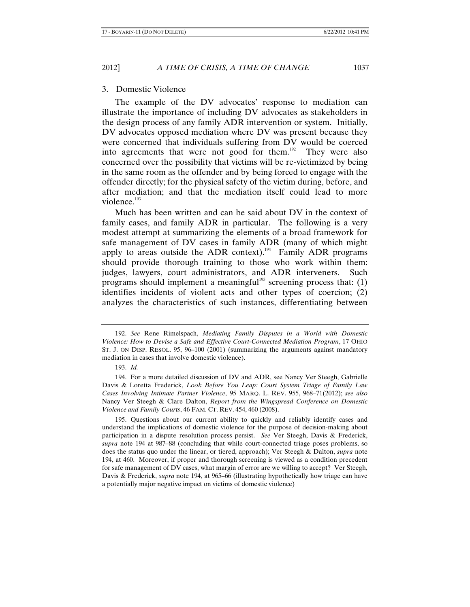#### 3. Domestic Violence

The example of the DV advocates' response to mediation can illustrate the importance of including DV advocates as stakeholders in the design process of any family ADR intervention or system. Initially, DV advocates opposed mediation where DV was present because they were concerned that individuals suffering from DV would be coerced into agreements that were not good for them.<sup>192</sup> They were also concerned over the possibility that victims will be re-victimized by being in the same room as the offender and by being forced to engage with the offender directly; for the physical safety of the victim during, before, and after mediation; and that the mediation itself could lead to more violence.<sup>193</sup>

Much has been written and can be said about DV in the context of family cases, and family ADR in particular. The following is a very modest attempt at summarizing the elements of a broad framework for safe management of DV cases in family ADR (many of which might apply to areas outside the ADR context).<sup>194</sup> Family ADR programs should provide thorough training to those who work within them: judges, lawyers, court administrators, and ADR interveners. Such programs should implement a meaningful<sup>195</sup> screening process that:  $(1)$ identifies incidents of violent acts and other types of coercion; (2) analyzes the characteristics of such instances, differentiating between

<sup>192.</sup> *See* Rene Rimelspach, *[Mediating Family Disputes in a World with Domestic](https://1.next.westlaw.com/Link/Document/FullText?findType=Y&serNum=0287811887&pubNum=1494&originationContext=document&transitionType=DocumentItem&contextData=%28sc.Default%29)  [Violence: How to Devise a Safe and Effective Court-Connected Mediation Program](https://1.next.westlaw.com/Link/Document/FullText?findType=Y&serNum=0287811887&pubNum=1494&originationContext=document&transitionType=DocumentItem&contextData=%28sc.Default%29)*, 17 OHIO ST. J. ON DISP. RESOL. [95, 96–100 \(2001\)](https://1.next.westlaw.com/Link/Document/FullText?findType=Y&serNum=0287811887&pubNum=1494&originationContext=document&transitionType=DocumentItem&contextData=%28sc.Default%29) (summarizing the arguments against mandatory mediation in cases that involve domestic violence).

<sup>193.</sup> *Id.*

<sup>194.</sup> For a more detailed discussion of DV and ADR, see Nancy Ver Steegh, Gabrielle Davis & Loretta Frederick, *Look Before You Leap: Court System Triage of Family Law Cases Involving Intimate Partner Violence*, 95 MARQ. L. REV. 955, 968–71(2012); *see also*  Nancy Ver Steegh & Clare Dalton, *Report from the Wingspread Conference on Domestic Violence and Family Courts*, 46 FAM. CT. REV. 454, 460 (2008).

<sup>195.</sup> Questions about our current ability to quickly and reliably identify cases and understand the implications of domestic violence for the purpose of decision-making about participation in a dispute resolution process persist. *See* Ver Steegh, Davis & Frederick, *supra* note 194 at 987–88 (concluding that while court-connected triage poses problems, so does the status quo under the linear, or tiered, approach); Ver Steegh & Dalton, *supra* note 194, at 460. Moreover, if proper and thorough screening is viewed as a condition precedent for safe management of DV cases, what margin of error are we willing to accept? Ver Steegh, Davis & Frederick, *supra* note 194, at 965–66 (illustrating hypothetically how triage can have a potentially major negative impact on victims of domestic violence)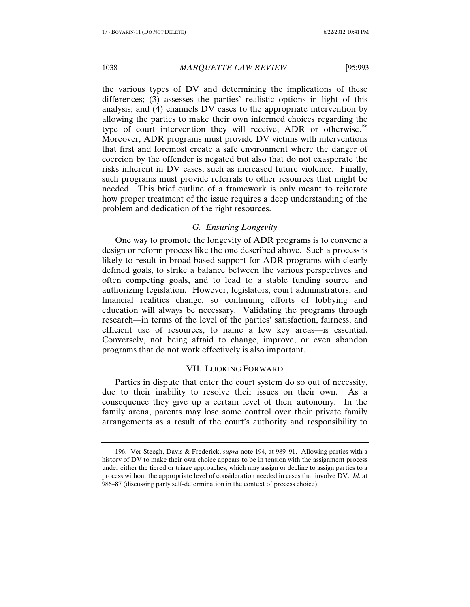the various types of DV and determining the implications of these differences; (3) assesses the parties' realistic options in light of this analysis; and (4) channels DV cases to the appropriate intervention by allowing the parties to make their own informed choices regarding the type of court intervention they will receive, ADR or otherwise.<sup>196</sup> Moreover, ADR programs must provide DV victims with interventions that first and foremost create a safe environment where the danger of coercion by the offender is negated but also that do not exasperate the risks inherent in DV cases, such as increased future violence. Finally, such programs must provide referrals to other resources that might be needed. This brief outline of a framework is only meant to reiterate how proper treatment of the issue requires a deep understanding of the problem and dedication of the right resources.

#### *G. Ensuring Longevity*

One way to promote the longevity of ADR programs is to convene a design or reform process like the one described above. Such a process is likely to result in broad-based support for ADR programs with clearly defined goals, to strike a balance between the various perspectives and often competing goals, and to lead to a stable funding source and authorizing legislation. However, legislators, court administrators, and financial realities change, so continuing efforts of lobbying and education will always be necessary. Validating the programs through research—in terms of the level of the parties' satisfaction, fairness, and efficient use of resources, to name a few key areas—is essential. Conversely, not being afraid to change, improve, or even abandon programs that do not work effectively is also important.

#### VII. LOOKING FORWARD

Parties in dispute that enter the court system do so out of necessity, due to their inability to resolve their issues on their own. As a consequence they give up a certain level of their autonomy. In the family arena, parents may lose some control over their private family arrangements as a result of the court's authority and responsibility to

<sup>196.</sup> Ver Steegh, Davis & Frederick, *supra* note 194, at 989–91. Allowing parties with a history of DV to make their own choice appears to be in tension with the assignment process under either the tiered or triage approaches, which may assign or decline to assign parties to a process without the appropriate level of consideration needed in cases that involve DV. *Id*. at 986–87 (discussing party self-determination in the context of process choice).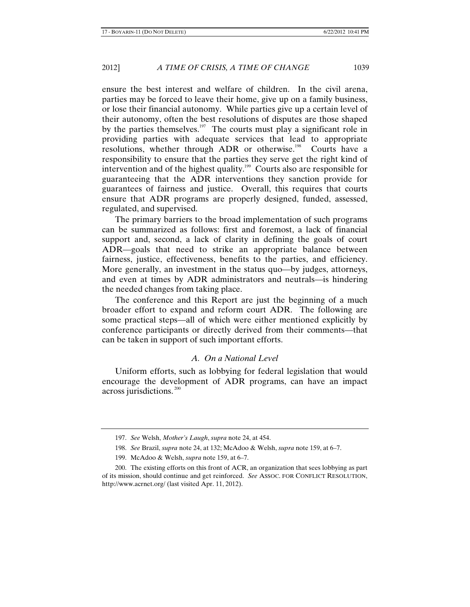ensure the best interest and welfare of children. In the civil arena, parties may be forced to leave their home, give up on a family business, or lose their financial autonomy. While parties give up a certain level of their autonomy, often the best resolutions of disputes are those shaped by the parties themselves.<sup>197</sup> The courts must play a significant role in providing parties with adequate services that lead to appropriate resolutions, whether through ADR or otherwise.<sup>198</sup> Courts have a responsibility to ensure that the parties they serve get the right kind of intervention and of the highest quality.<sup>199</sup> Courts also are responsible for guaranteeing that the ADR interventions they sanction provide for guarantees of fairness and justice. Overall, this requires that courts ensure that ADR programs are properly designed, funded, assessed, regulated, and supervised.

The primary barriers to the broad implementation of such programs can be summarized as follows: first and foremost, a lack of financial support and, second, a lack of clarity in defining the goals of court ADR—goals that need to strike an appropriate balance between fairness, justice, effectiveness, benefits to the parties, and efficiency. More generally, an investment in the status quo—by judges, attorneys, and even at times by ADR administrators and neutrals—is hindering the needed changes from taking place.

The conference and this Report are just the beginning of a much broader effort to expand and reform court ADR. The following are some practical steps—all of which were either mentioned explicitly by conference participants or directly derived from their comments—that can be taken in support of such important efforts.

#### *A. On a National Level*

Uniform efforts, such as lobbying for federal legislation that would encourage the development of ADR programs, can have an impact across jurisdictions. 200

<sup>197.</sup> *See* Welsh, *Mother's Laugh*, *supra* note 24, at 454.

<sup>198.</sup> *See* Brazil, *supra* note 24, at 132; McAdoo & Welsh, *supra* note 159, at 6–7.

<sup>199.</sup> McAdoo & Welsh, *supra* [note 159,](http://papers.ssrn.com/sol3/papers.cfm?abstract_id=1726213) at 6–7.

<sup>200.</sup> The existing efforts on this front of ACR, an organization that sees lobbying as part of its mission, should continue and get reinforced. *See* ASSOC. FOR CONFLICT RESOLUTION, http://www.acrnet.org/ (last visited Apr. 11, 2012).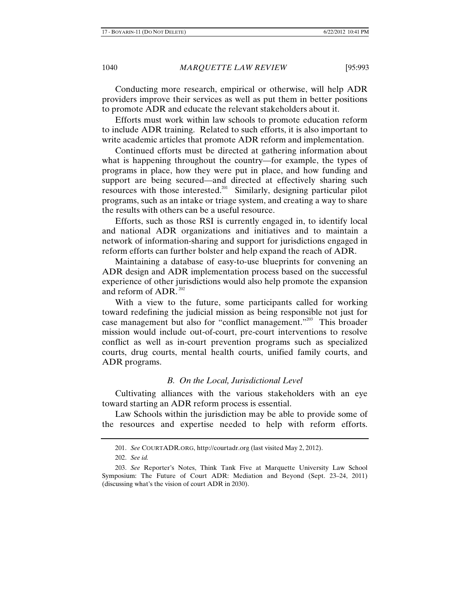Conducting more research, empirical or otherwise, will help ADR providers improve their services as well as put them in better positions to promote ADR and educate the relevant stakeholders about it.

Efforts must work within law schools to promote education reform to include ADR training. Related to such efforts, it is also important to write academic articles that promote ADR reform and implementation.

Continued efforts must be directed at gathering information about what is happening throughout the country—for example, the types of programs in place, how they were put in place, and how funding and support are being secured—and directed at effectively sharing such resources with those interested.<sup>201</sup> Similarly, designing particular pilot programs, such as an intake or triage system, and creating a way to share the results with others can be a useful resource.

Efforts, such as those RSI is currently engaged in, to identify local and national ADR organizations and initiatives and to maintain a network of information-sharing and support for jurisdictions engaged in reform efforts can further bolster and help expand the reach of ADR.

Maintaining a database of easy-to-use blueprints for convening an ADR design and ADR implementation process based on the successful experience of other jurisdictions would also help promote the expansion and reform of ADR. <sup>202</sup>

With a view to the future, some participants called for working toward redefining the judicial mission as being responsible not just for case management but also for "conflict management."<sup>203</sup> This broader mission would include out-of-court, pre-court interventions to resolve conflict as well as in-court prevention programs such as specialized courts, drug courts, mental health courts, unified family courts, and ADR programs.

#### *B. On the Local, Jurisdictional Level*

Cultivating alliances with the various stakeholders with an eye toward starting an ADR reform process is essential.

Law Schools within the jurisdiction may be able to provide some of the resources and expertise needed to help with reform efforts.

<sup>201.</sup> *See* COURTADR.ORG, http://courtadr.org (last visited May 2, 2012).

<sup>202.</sup> *See id.*

<sup>203.</sup> *See* Reporter's Notes, Think Tank Five at Marquette University Law School Symposium: The Future of Court ADR: Mediation and Beyond (Sept. 23–24, 2011) (discussing what's the vision of court ADR in 2030).